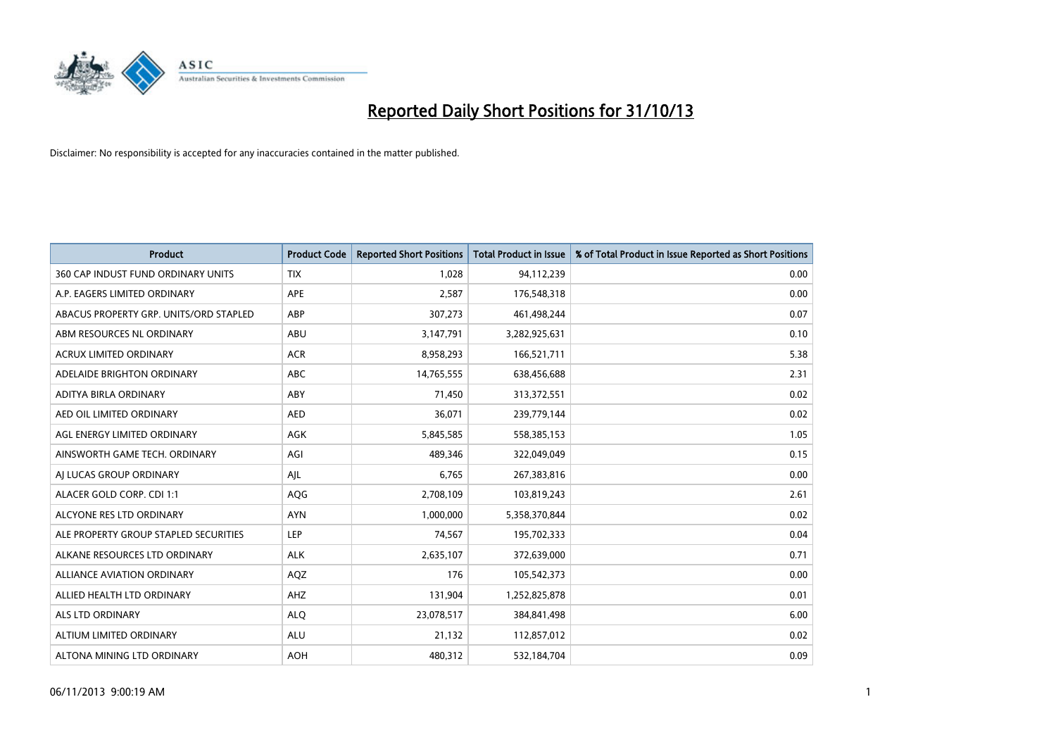

| <b>Product</b>                         | <b>Product Code</b> | <b>Reported Short Positions</b> | <b>Total Product in Issue</b> | % of Total Product in Issue Reported as Short Positions |
|----------------------------------------|---------------------|---------------------------------|-------------------------------|---------------------------------------------------------|
| 360 CAP INDUST FUND ORDINARY UNITS     | <b>TIX</b>          | 1,028                           | 94,112,239                    | 0.00                                                    |
| A.P. EAGERS LIMITED ORDINARY           | APE                 | 2,587                           | 176,548,318                   | 0.00                                                    |
| ABACUS PROPERTY GRP. UNITS/ORD STAPLED | ABP                 | 307,273                         | 461,498,244                   | 0.07                                                    |
| ABM RESOURCES NL ORDINARY              | ABU                 | 3,147,791                       | 3,282,925,631                 | 0.10                                                    |
| <b>ACRUX LIMITED ORDINARY</b>          | <b>ACR</b>          | 8,958,293                       | 166,521,711                   | 5.38                                                    |
| ADELAIDE BRIGHTON ORDINARY             | <b>ABC</b>          | 14,765,555                      | 638,456,688                   | 2.31                                                    |
| ADITYA BIRLA ORDINARY                  | ABY                 | 71,450                          | 313,372,551                   | 0.02                                                    |
| AED OIL LIMITED ORDINARY               | <b>AED</b>          | 36,071                          | 239,779,144                   | 0.02                                                    |
| AGL ENERGY LIMITED ORDINARY            | <b>AGK</b>          | 5,845,585                       | 558,385,153                   | 1.05                                                    |
| AINSWORTH GAME TECH. ORDINARY          | AGI                 | 489,346                         | 322,049,049                   | 0.15                                                    |
| AI LUCAS GROUP ORDINARY                | AJL                 | 6,765                           | 267,383,816                   | 0.00                                                    |
| ALACER GOLD CORP. CDI 1:1              | AQG                 | 2,708,109                       | 103,819,243                   | 2.61                                                    |
| ALCYONE RES LTD ORDINARY               | <b>AYN</b>          | 1,000,000                       | 5,358,370,844                 | 0.02                                                    |
| ALE PROPERTY GROUP STAPLED SECURITIES  | LEP                 | 74,567                          | 195,702,333                   | 0.04                                                    |
| ALKANE RESOURCES LTD ORDINARY          | <b>ALK</b>          | 2,635,107                       | 372,639,000                   | 0.71                                                    |
| ALLIANCE AVIATION ORDINARY             | AQZ                 | 176                             | 105,542,373                   | 0.00                                                    |
| ALLIED HEALTH LTD ORDINARY             | AHZ                 | 131,904                         | 1,252,825,878                 | 0.01                                                    |
| <b>ALS LTD ORDINARY</b>                | <b>ALQ</b>          | 23,078,517                      | 384, 841, 498                 | 6.00                                                    |
| ALTIUM LIMITED ORDINARY                | <b>ALU</b>          | 21,132                          | 112,857,012                   | 0.02                                                    |
| ALTONA MINING LTD ORDINARY             | <b>AOH</b>          | 480,312                         | 532,184,704                   | 0.09                                                    |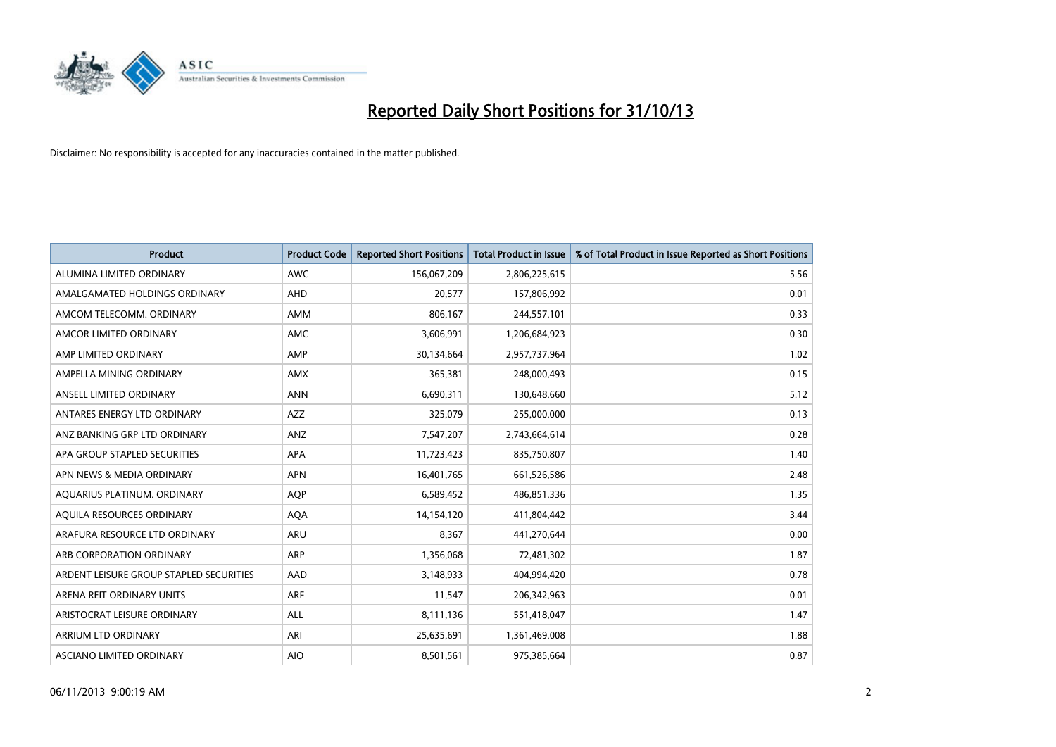

| <b>Product</b>                          | <b>Product Code</b> | <b>Reported Short Positions</b> | <b>Total Product in Issue</b> | % of Total Product in Issue Reported as Short Positions |
|-----------------------------------------|---------------------|---------------------------------|-------------------------------|---------------------------------------------------------|
| ALUMINA LIMITED ORDINARY                | <b>AWC</b>          | 156,067,209                     | 2,806,225,615                 | 5.56                                                    |
| AMALGAMATED HOLDINGS ORDINARY           | <b>AHD</b>          | 20,577                          | 157,806,992                   | 0.01                                                    |
| AMCOM TELECOMM. ORDINARY                | AMM                 | 806,167                         | 244,557,101                   | 0.33                                                    |
| AMCOR LIMITED ORDINARY                  | AMC                 | 3,606,991                       | 1,206,684,923                 | 0.30                                                    |
| AMP LIMITED ORDINARY                    | AMP                 | 30,134,664                      | 2,957,737,964                 | 1.02                                                    |
| AMPELLA MINING ORDINARY                 | AMX                 | 365,381                         | 248,000,493                   | 0.15                                                    |
| ANSELL LIMITED ORDINARY                 | <b>ANN</b>          | 6,690,311                       | 130,648,660                   | 5.12                                                    |
| ANTARES ENERGY LTD ORDINARY             | AZZ                 | 325,079                         | 255,000,000                   | 0.13                                                    |
| ANZ BANKING GRP LTD ORDINARY            | ANZ                 | 7,547,207                       | 2,743,664,614                 | 0.28                                                    |
| APA GROUP STAPLED SECURITIES            | <b>APA</b>          | 11,723,423                      | 835,750,807                   | 1.40                                                    |
| APN NEWS & MEDIA ORDINARY               | <b>APN</b>          | 16,401,765                      | 661,526,586                   | 2.48                                                    |
| AQUARIUS PLATINUM. ORDINARY             | <b>AOP</b>          | 6,589,452                       | 486,851,336                   | 1.35                                                    |
| AQUILA RESOURCES ORDINARY               | <b>AQA</b>          | 14,154,120                      | 411,804,442                   | 3.44                                                    |
| ARAFURA RESOURCE LTD ORDINARY           | <b>ARU</b>          | 8,367                           | 441,270,644                   | 0.00                                                    |
| ARB CORPORATION ORDINARY                | ARP                 | 1,356,068                       | 72,481,302                    | 1.87                                                    |
| ARDENT LEISURE GROUP STAPLED SECURITIES | AAD                 | 3,148,933                       | 404,994,420                   | 0.78                                                    |
| ARENA REIT ORDINARY UNITS               | <b>ARF</b>          | 11,547                          | 206,342,963                   | 0.01                                                    |
| ARISTOCRAT LEISURE ORDINARY             | ALL                 | 8,111,136                       | 551,418,047                   | 1.47                                                    |
| ARRIUM LTD ORDINARY                     | ARI                 | 25,635,691                      | 1,361,469,008                 | 1.88                                                    |
| ASCIANO LIMITED ORDINARY                | <b>AIO</b>          | 8,501,561                       | 975,385,664                   | 0.87                                                    |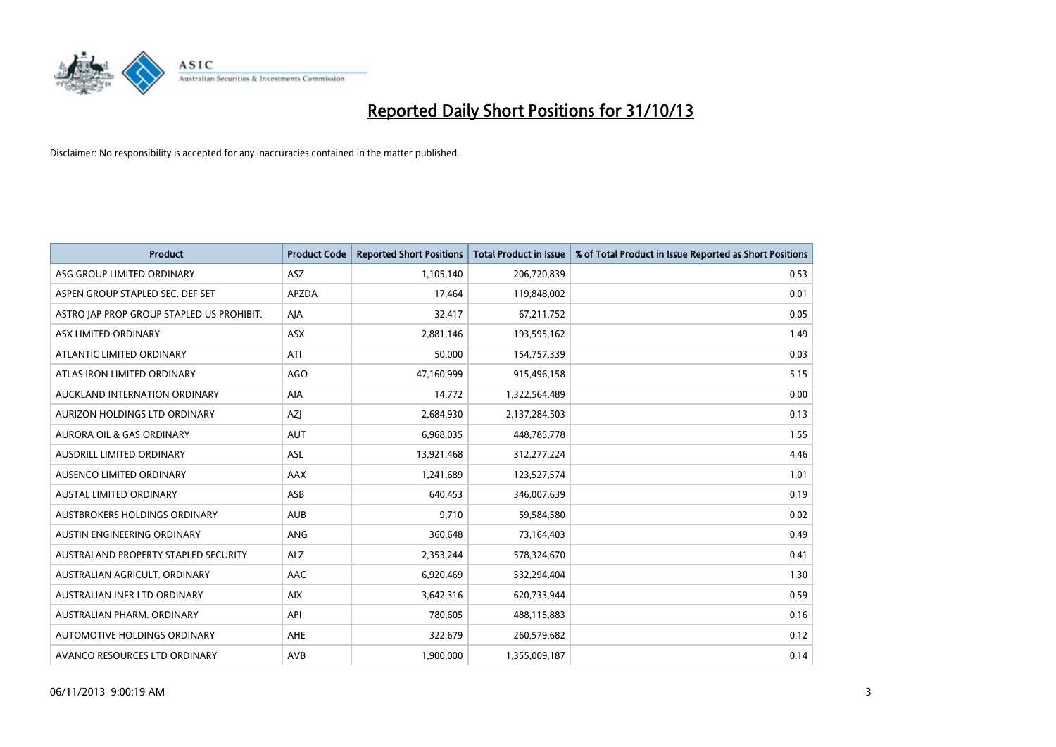

| <b>Product</b>                            | <b>Product Code</b> | <b>Reported Short Positions</b> | <b>Total Product in Issue</b> | % of Total Product in Issue Reported as Short Positions |
|-------------------------------------------|---------------------|---------------------------------|-------------------------------|---------------------------------------------------------|
| ASG GROUP LIMITED ORDINARY                | <b>ASZ</b>          | 1,105,140                       | 206,720,839                   | 0.53                                                    |
| ASPEN GROUP STAPLED SEC. DEF SET          | <b>APZDA</b>        | 17,464                          | 119,848,002                   | 0.01                                                    |
| ASTRO JAP PROP GROUP STAPLED US PROHIBIT. | AJA                 | 32,417                          | 67,211,752                    | 0.05                                                    |
| ASX LIMITED ORDINARY                      | <b>ASX</b>          | 2,881,146                       | 193,595,162                   | 1.49                                                    |
| ATLANTIC LIMITED ORDINARY                 | ATI                 | 50,000                          | 154,757,339                   | 0.03                                                    |
| ATLAS IRON LIMITED ORDINARY               | AGO                 | 47,160,999                      | 915,496,158                   | 5.15                                                    |
| AUCKLAND INTERNATION ORDINARY             | AIA                 | 14,772                          | 1,322,564,489                 | 0.00                                                    |
| AURIZON HOLDINGS LTD ORDINARY             | AZJ                 | 2,684,930                       | 2,137,284,503                 | 0.13                                                    |
| <b>AURORA OIL &amp; GAS ORDINARY</b>      | <b>AUT</b>          | 6,968,035                       | 448,785,778                   | 1.55                                                    |
| AUSDRILL LIMITED ORDINARY                 | ASL                 | 13,921,468                      | 312,277,224                   | 4.46                                                    |
| AUSENCO LIMITED ORDINARY                  | AAX                 | 1,241,689                       | 123,527,574                   | 1.01                                                    |
| <b>AUSTAL LIMITED ORDINARY</b>            | ASB                 | 640,453                         | 346,007,639                   | 0.19                                                    |
| AUSTBROKERS HOLDINGS ORDINARY             | <b>AUB</b>          | 9,710                           | 59,584,580                    | 0.02                                                    |
| AUSTIN ENGINEERING ORDINARY               | <b>ANG</b>          | 360,648                         | 73,164,403                    | 0.49                                                    |
| AUSTRALAND PROPERTY STAPLED SECURITY      | <b>ALZ</b>          | 2,353,244                       | 578,324,670                   | 0.41                                                    |
| AUSTRALIAN AGRICULT, ORDINARY             | AAC                 | 6,920,469                       | 532,294,404                   | 1.30                                                    |
| AUSTRALIAN INFR LTD ORDINARY              | <b>AIX</b>          | 3,642,316                       | 620,733,944                   | 0.59                                                    |
| AUSTRALIAN PHARM, ORDINARY                | API                 | 780,605                         | 488,115,883                   | 0.16                                                    |
| AUTOMOTIVE HOLDINGS ORDINARY              | <b>AHE</b>          | 322,679                         | 260,579,682                   | 0.12                                                    |
| AVANCO RESOURCES LTD ORDINARY             | AVB                 | 1,900,000                       | 1,355,009,187                 | 0.14                                                    |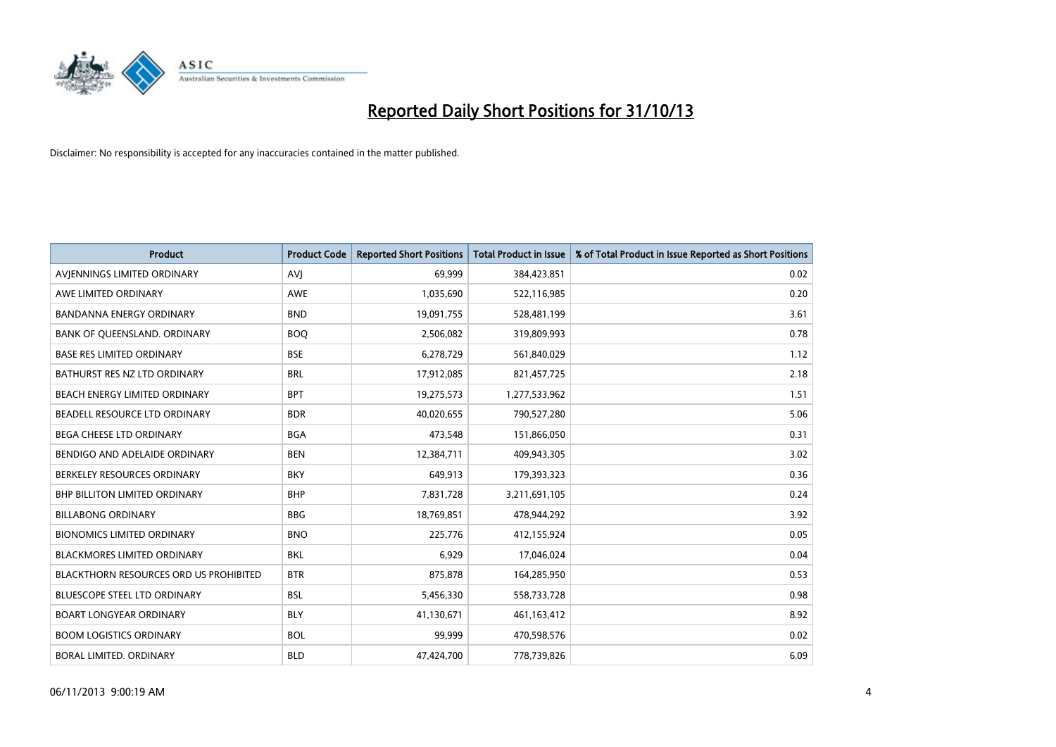

| <b>Product</b>                         | <b>Product Code</b> | <b>Reported Short Positions</b> | <b>Total Product in Issue</b> | % of Total Product in Issue Reported as Short Positions |
|----------------------------------------|---------------------|---------------------------------|-------------------------------|---------------------------------------------------------|
| AVIENNINGS LIMITED ORDINARY            | <b>AVJ</b>          | 69,999                          | 384,423,851                   | 0.02                                                    |
| AWE LIMITED ORDINARY                   | <b>AWE</b>          | 1,035,690                       | 522,116,985                   | 0.20                                                    |
| <b>BANDANNA ENERGY ORDINARY</b>        | <b>BND</b>          | 19,091,755                      | 528,481,199                   | 3.61                                                    |
| BANK OF QUEENSLAND. ORDINARY           | <b>BOQ</b>          | 2,506,082                       | 319,809,993                   | 0.78                                                    |
| <b>BASE RES LIMITED ORDINARY</b>       | <b>BSE</b>          | 6,278,729                       | 561,840,029                   | 1.12                                                    |
| BATHURST RES NZ LTD ORDINARY           | <b>BRL</b>          | 17,912,085                      | 821,457,725                   | 2.18                                                    |
| BEACH ENERGY LIMITED ORDINARY          | <b>BPT</b>          | 19,275,573                      | 1,277,533,962                 | 1.51                                                    |
| BEADELL RESOURCE LTD ORDINARY          | <b>BDR</b>          | 40,020,655                      | 790,527,280                   | 5.06                                                    |
| <b>BEGA CHEESE LTD ORDINARY</b>        | <b>BGA</b>          | 473,548                         | 151,866,050                   | 0.31                                                    |
| BENDIGO AND ADELAIDE ORDINARY          | <b>BEN</b>          | 12,384,711                      | 409,943,305                   | 3.02                                                    |
| BERKELEY RESOURCES ORDINARY            | <b>BKY</b>          | 649,913                         | 179,393,323                   | 0.36                                                    |
| <b>BHP BILLITON LIMITED ORDINARY</b>   | <b>BHP</b>          | 7,831,728                       | 3,211,691,105                 | 0.24                                                    |
| <b>BILLABONG ORDINARY</b>              | <b>BBG</b>          | 18,769,851                      | 478,944,292                   | 3.92                                                    |
| <b>BIONOMICS LIMITED ORDINARY</b>      | <b>BNO</b>          | 225,776                         | 412,155,924                   | 0.05                                                    |
| <b>BLACKMORES LIMITED ORDINARY</b>     | <b>BKL</b>          | 6,929                           | 17,046,024                    | 0.04                                                    |
| BLACKTHORN RESOURCES ORD US PROHIBITED | <b>BTR</b>          | 875,878                         | 164,285,950                   | 0.53                                                    |
| BLUESCOPE STEEL LTD ORDINARY           | <b>BSL</b>          | 5,456,330                       | 558,733,728                   | 0.98                                                    |
| <b>BOART LONGYEAR ORDINARY</b>         | <b>BLY</b>          | 41,130,671                      | 461,163,412                   | 8.92                                                    |
| <b>BOOM LOGISTICS ORDINARY</b>         | <b>BOL</b>          | 99,999                          | 470,598,576                   | 0.02                                                    |
| BORAL LIMITED. ORDINARY                | <b>BLD</b>          | 47,424,700                      | 778,739,826                   | 6.09                                                    |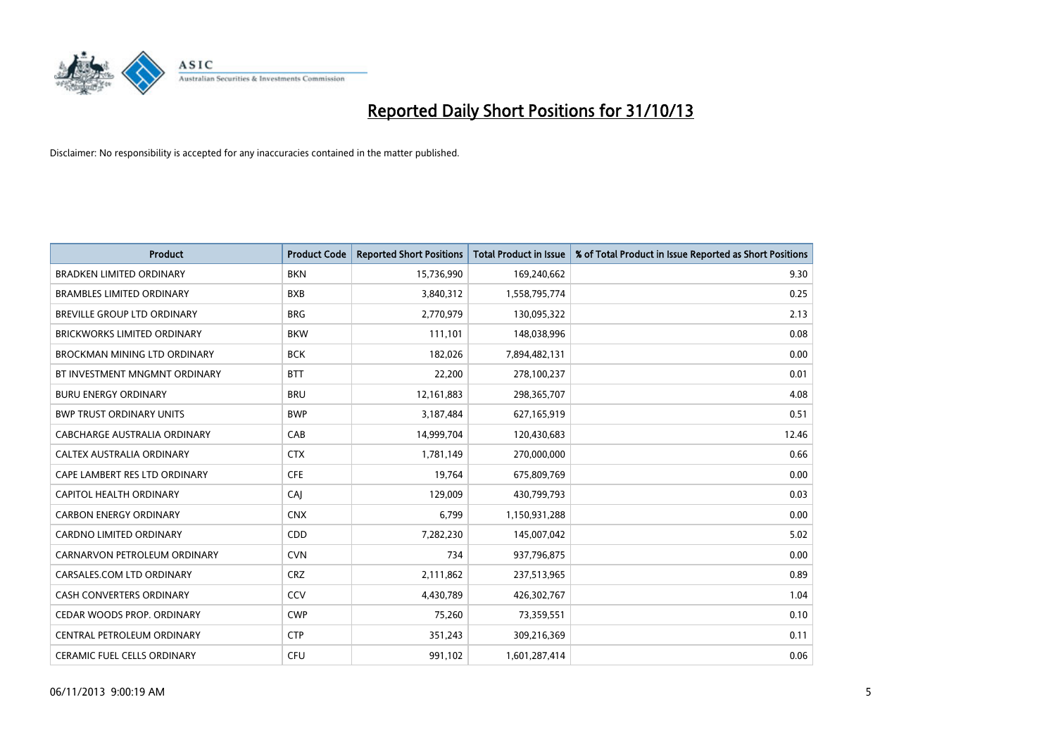

| <b>Product</b>                      | <b>Product Code</b> | <b>Reported Short Positions</b> | <b>Total Product in Issue</b> | % of Total Product in Issue Reported as Short Positions |
|-------------------------------------|---------------------|---------------------------------|-------------------------------|---------------------------------------------------------|
| <b>BRADKEN LIMITED ORDINARY</b>     | <b>BKN</b>          | 15,736,990                      | 169,240,662                   | 9.30                                                    |
| <b>BRAMBLES LIMITED ORDINARY</b>    | <b>BXB</b>          | 3,840,312                       | 1,558,795,774                 | 0.25                                                    |
| <b>BREVILLE GROUP LTD ORDINARY</b>  | <b>BRG</b>          | 2,770,979                       | 130,095,322                   | 2.13                                                    |
| BRICKWORKS LIMITED ORDINARY         | <b>BKW</b>          | 111,101                         | 148,038,996                   | 0.08                                                    |
| <b>BROCKMAN MINING LTD ORDINARY</b> | <b>BCK</b>          | 182,026                         | 7,894,482,131                 | 0.00                                                    |
| BT INVESTMENT MNGMNT ORDINARY       | <b>BTT</b>          | 22,200                          | 278,100,237                   | 0.01                                                    |
| <b>BURU ENERGY ORDINARY</b>         | <b>BRU</b>          | 12,161,883                      | 298,365,707                   | 4.08                                                    |
| <b>BWP TRUST ORDINARY UNITS</b>     | <b>BWP</b>          | 3,187,484                       | 627,165,919                   | 0.51                                                    |
| CABCHARGE AUSTRALIA ORDINARY        | CAB                 | 14,999,704                      | 120,430,683                   | 12.46                                                   |
| CALTEX AUSTRALIA ORDINARY           | <b>CTX</b>          | 1,781,149                       | 270,000,000                   | 0.66                                                    |
| CAPE LAMBERT RES LTD ORDINARY       | <b>CFE</b>          | 19,764                          | 675,809,769                   | 0.00                                                    |
| CAPITOL HEALTH ORDINARY             | CAJ                 | 129,009                         | 430,799,793                   | 0.03                                                    |
| <b>CARBON ENERGY ORDINARY</b>       | <b>CNX</b>          | 6,799                           | 1,150,931,288                 | 0.00                                                    |
| <b>CARDNO LIMITED ORDINARY</b>      | CDD                 | 7,282,230                       | 145,007,042                   | 5.02                                                    |
| CARNARVON PETROLEUM ORDINARY        | <b>CVN</b>          | 734                             | 937,796,875                   | 0.00                                                    |
| CARSALES.COM LTD ORDINARY           | <b>CRZ</b>          | 2,111,862                       | 237,513,965                   | 0.89                                                    |
| CASH CONVERTERS ORDINARY            | CCV                 | 4,430,789                       | 426,302,767                   | 1.04                                                    |
| CEDAR WOODS PROP. ORDINARY          | <b>CWP</b>          | 75,260                          | 73,359,551                    | 0.10                                                    |
| CENTRAL PETROLEUM ORDINARY          | <b>CTP</b>          | 351,243                         | 309,216,369                   | 0.11                                                    |
| CERAMIC FUEL CELLS ORDINARY         | <b>CFU</b>          | 991,102                         | 1,601,287,414                 | 0.06                                                    |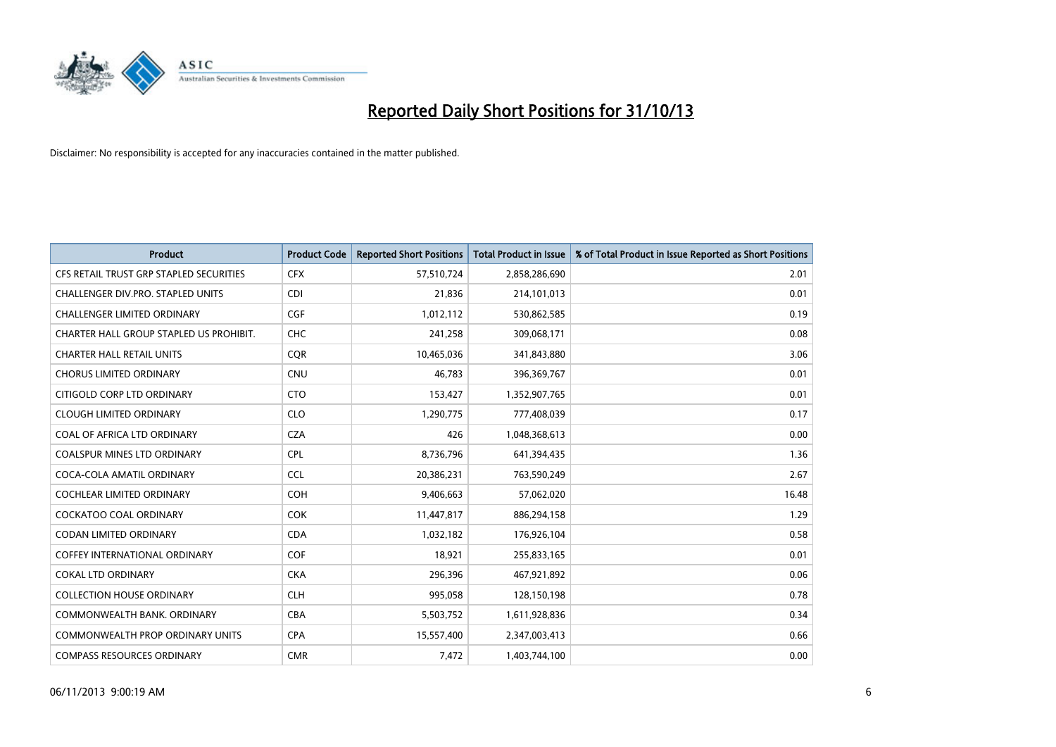

| <b>Product</b>                          | <b>Product Code</b> | <b>Reported Short Positions</b> | <b>Total Product in Issue</b> | % of Total Product in Issue Reported as Short Positions |
|-----------------------------------------|---------------------|---------------------------------|-------------------------------|---------------------------------------------------------|
| CFS RETAIL TRUST GRP STAPLED SECURITIES | <b>CFX</b>          | 57,510,724                      | 2,858,286,690                 | 2.01                                                    |
| CHALLENGER DIV.PRO. STAPLED UNITS       | <b>CDI</b>          | 21,836                          | 214,101,013                   | 0.01                                                    |
| <b>CHALLENGER LIMITED ORDINARY</b>      | <b>CGF</b>          | 1,012,112                       | 530,862,585                   | 0.19                                                    |
| CHARTER HALL GROUP STAPLED US PROHIBIT. | <b>CHC</b>          | 241,258                         | 309,068,171                   | 0.08                                                    |
| <b>CHARTER HALL RETAIL UNITS</b>        | <b>COR</b>          | 10,465,036                      | 341,843,880                   | 3.06                                                    |
| <b>CHORUS LIMITED ORDINARY</b>          | CNU                 | 46,783                          | 396,369,767                   | 0.01                                                    |
| CITIGOLD CORP LTD ORDINARY              | <b>CTO</b>          | 153,427                         | 1,352,907,765                 | 0.01                                                    |
| <b>CLOUGH LIMITED ORDINARY</b>          | <b>CLO</b>          | 1,290,775                       | 777,408,039                   | 0.17                                                    |
| COAL OF AFRICA LTD ORDINARY             | <b>CZA</b>          | 426                             | 1,048,368,613                 | 0.00                                                    |
| <b>COALSPUR MINES LTD ORDINARY</b>      | <b>CPL</b>          | 8,736,796                       | 641,394,435                   | 1.36                                                    |
| COCA-COLA AMATIL ORDINARY               | <b>CCL</b>          | 20,386,231                      | 763,590,249                   | 2.67                                                    |
| <b>COCHLEAR LIMITED ORDINARY</b>        | <b>COH</b>          | 9,406,663                       | 57,062,020                    | 16.48                                                   |
| COCKATOO COAL ORDINARY                  | <b>COK</b>          | 11,447,817                      | 886,294,158                   | 1.29                                                    |
| <b>CODAN LIMITED ORDINARY</b>           | <b>CDA</b>          | 1,032,182                       | 176,926,104                   | 0.58                                                    |
| <b>COFFEY INTERNATIONAL ORDINARY</b>    | COF                 | 18,921                          | 255,833,165                   | 0.01                                                    |
| <b>COKAL LTD ORDINARY</b>               | <b>CKA</b>          | 296,396                         | 467,921,892                   | 0.06                                                    |
| <b>COLLECTION HOUSE ORDINARY</b>        | <b>CLH</b>          | 995,058                         | 128,150,198                   | 0.78                                                    |
| COMMONWEALTH BANK, ORDINARY             | <b>CBA</b>          | 5,503,752                       | 1,611,928,836                 | 0.34                                                    |
| <b>COMMONWEALTH PROP ORDINARY UNITS</b> | <b>CPA</b>          | 15,557,400                      | 2,347,003,413                 | 0.66                                                    |
| <b>COMPASS RESOURCES ORDINARY</b>       | <b>CMR</b>          | 7,472                           | 1,403,744,100                 | 0.00                                                    |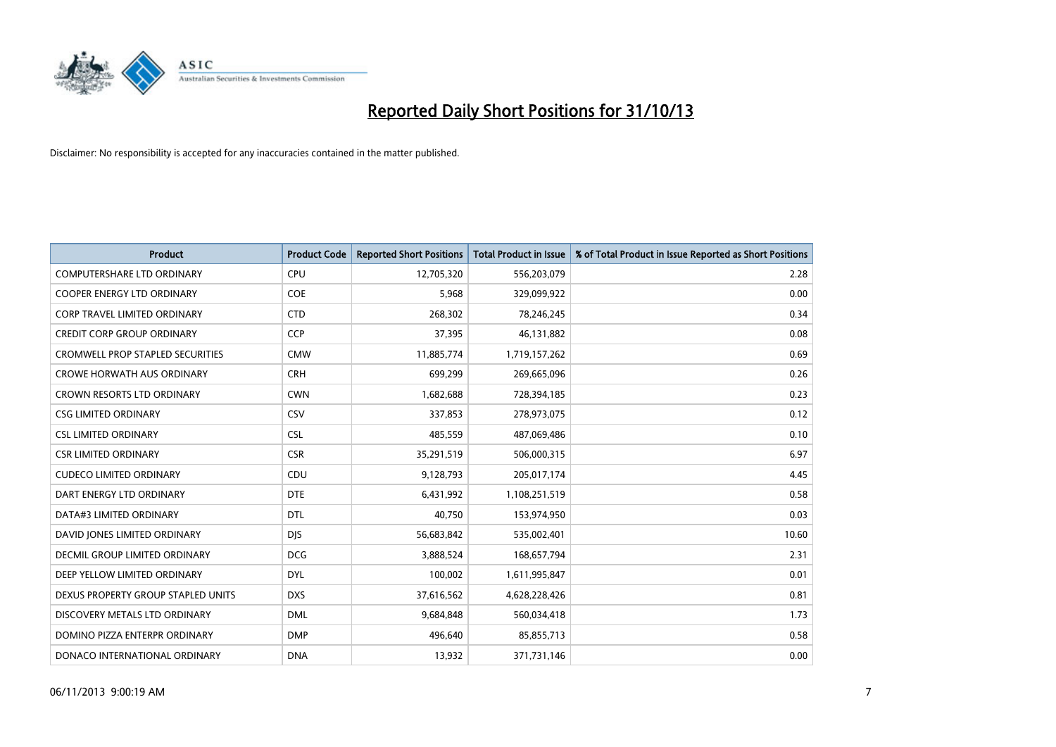

| <b>Product</b>                          | <b>Product Code</b> | <b>Reported Short Positions</b> | <b>Total Product in Issue</b> | % of Total Product in Issue Reported as Short Positions |
|-----------------------------------------|---------------------|---------------------------------|-------------------------------|---------------------------------------------------------|
| <b>COMPUTERSHARE LTD ORDINARY</b>       | <b>CPU</b>          | 12,705,320                      | 556,203,079                   | 2.28                                                    |
| COOPER ENERGY LTD ORDINARY              | <b>COE</b>          | 5,968                           | 329,099,922                   | 0.00                                                    |
| <b>CORP TRAVEL LIMITED ORDINARY</b>     | <b>CTD</b>          | 268,302                         | 78,246,245                    | 0.34                                                    |
| <b>CREDIT CORP GROUP ORDINARY</b>       | CCP                 | 37,395                          | 46,131,882                    | 0.08                                                    |
| <b>CROMWELL PROP STAPLED SECURITIES</b> | <b>CMW</b>          | 11,885,774                      | 1,719,157,262                 | 0.69                                                    |
| <b>CROWE HORWATH AUS ORDINARY</b>       | <b>CRH</b>          | 699,299                         | 269,665,096                   | 0.26                                                    |
| <b>CROWN RESORTS LTD ORDINARY</b>       | <b>CWN</b>          | 1,682,688                       | 728,394,185                   | 0.23                                                    |
| <b>CSG LIMITED ORDINARY</b>             | CSV                 | 337,853                         | 278,973,075                   | 0.12                                                    |
| <b>CSL LIMITED ORDINARY</b>             | <b>CSL</b>          | 485,559                         | 487,069,486                   | 0.10                                                    |
| <b>CSR LIMITED ORDINARY</b>             | <b>CSR</b>          | 35,291,519                      | 506,000,315                   | 6.97                                                    |
| <b>CUDECO LIMITED ORDINARY</b>          | CDU                 | 9,128,793                       | 205,017,174                   | 4.45                                                    |
| DART ENERGY LTD ORDINARY                | <b>DTE</b>          | 6,431,992                       | 1,108,251,519                 | 0.58                                                    |
| DATA#3 LIMITED ORDINARY                 | <b>DTL</b>          | 40,750                          | 153,974,950                   | 0.03                                                    |
| DAVID JONES LIMITED ORDINARY            | <b>DJS</b>          | 56,683,842                      | 535,002,401                   | 10.60                                                   |
| <b>DECMIL GROUP LIMITED ORDINARY</b>    | <b>DCG</b>          | 3,888,524                       | 168,657,794                   | 2.31                                                    |
| DEEP YELLOW LIMITED ORDINARY            | <b>DYL</b>          | 100,002                         | 1,611,995,847                 | 0.01                                                    |
| DEXUS PROPERTY GROUP STAPLED UNITS      | <b>DXS</b>          | 37,616,562                      | 4,628,228,426                 | 0.81                                                    |
| DISCOVERY METALS LTD ORDINARY           | <b>DML</b>          | 9,684,848                       | 560,034,418                   | 1.73                                                    |
| DOMINO PIZZA ENTERPR ORDINARY           | <b>DMP</b>          | 496,640                         | 85,855,713                    | 0.58                                                    |
| DONACO INTERNATIONAL ORDINARY           | <b>DNA</b>          | 13,932                          | 371,731,146                   | 0.00                                                    |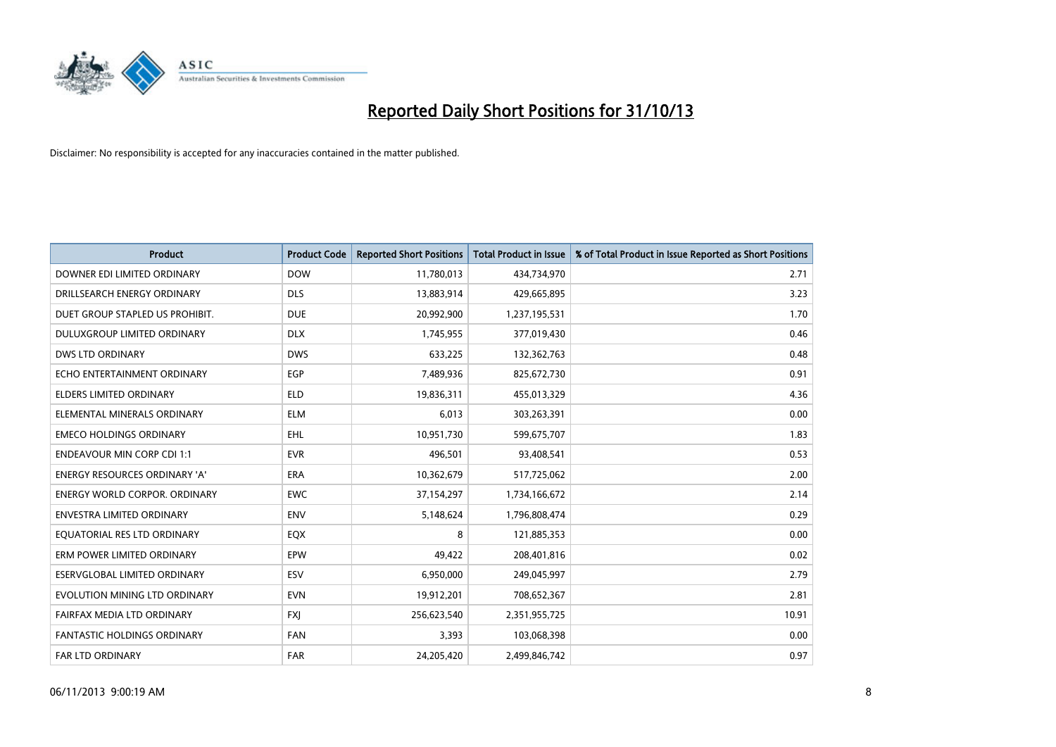

| <b>Product</b>                       | <b>Product Code</b> | <b>Reported Short Positions</b> | <b>Total Product in Issue</b> | % of Total Product in Issue Reported as Short Positions |
|--------------------------------------|---------------------|---------------------------------|-------------------------------|---------------------------------------------------------|
| DOWNER EDI LIMITED ORDINARY          | <b>DOW</b>          | 11,780,013                      | 434,734,970                   | 2.71                                                    |
| DRILLSEARCH ENERGY ORDINARY          | <b>DLS</b>          | 13,883,914                      | 429,665,895                   | 3.23                                                    |
| DUET GROUP STAPLED US PROHIBIT.      | <b>DUE</b>          | 20,992,900                      | 1,237,195,531                 | 1.70                                                    |
| DULUXGROUP LIMITED ORDINARY          | <b>DLX</b>          | 1,745,955                       | 377,019,430                   | 0.46                                                    |
| <b>DWS LTD ORDINARY</b>              | <b>DWS</b>          | 633,225                         | 132,362,763                   | 0.48                                                    |
| ECHO ENTERTAINMENT ORDINARY          | EGP                 | 7,489,936                       | 825,672,730                   | 0.91                                                    |
| <b>ELDERS LIMITED ORDINARY</b>       | <b>ELD</b>          | 19,836,311                      | 455,013,329                   | 4.36                                                    |
| ELEMENTAL MINERALS ORDINARY          | <b>ELM</b>          | 6,013                           | 303,263,391                   | 0.00                                                    |
| <b>EMECO HOLDINGS ORDINARY</b>       | <b>EHL</b>          | 10,951,730                      | 599,675,707                   | 1.83                                                    |
| <b>ENDEAVOUR MIN CORP CDI 1:1</b>    | <b>EVR</b>          | 496,501                         | 93,408,541                    | 0.53                                                    |
| ENERGY RESOURCES ORDINARY 'A'        | <b>ERA</b>          | 10,362,679                      | 517,725,062                   | 2.00                                                    |
| <b>ENERGY WORLD CORPOR, ORDINARY</b> | EWC                 | 37,154,297                      | 1,734,166,672                 | 2.14                                                    |
| <b>ENVESTRA LIMITED ORDINARY</b>     | <b>ENV</b>          | 5,148,624                       | 1,796,808,474                 | 0.29                                                    |
| EQUATORIAL RES LTD ORDINARY          | EQX                 | 8                               | 121,885,353                   | 0.00                                                    |
| ERM POWER LIMITED ORDINARY           | EPW                 | 49,422                          | 208,401,816                   | 0.02                                                    |
| ESERVGLOBAL LIMITED ORDINARY         | ESV                 | 6,950,000                       | 249,045,997                   | 2.79                                                    |
| EVOLUTION MINING LTD ORDINARY        | <b>EVN</b>          | 19,912,201                      | 708,652,367                   | 2.81                                                    |
| FAIRFAX MEDIA LTD ORDINARY           | <b>FXI</b>          | 256,623,540                     | 2,351,955,725                 | 10.91                                                   |
| <b>FANTASTIC HOLDINGS ORDINARY</b>   | <b>FAN</b>          | 3,393                           | 103,068,398                   | 0.00                                                    |
| <b>FAR LTD ORDINARY</b>              | <b>FAR</b>          | 24,205,420                      | 2,499,846,742                 | 0.97                                                    |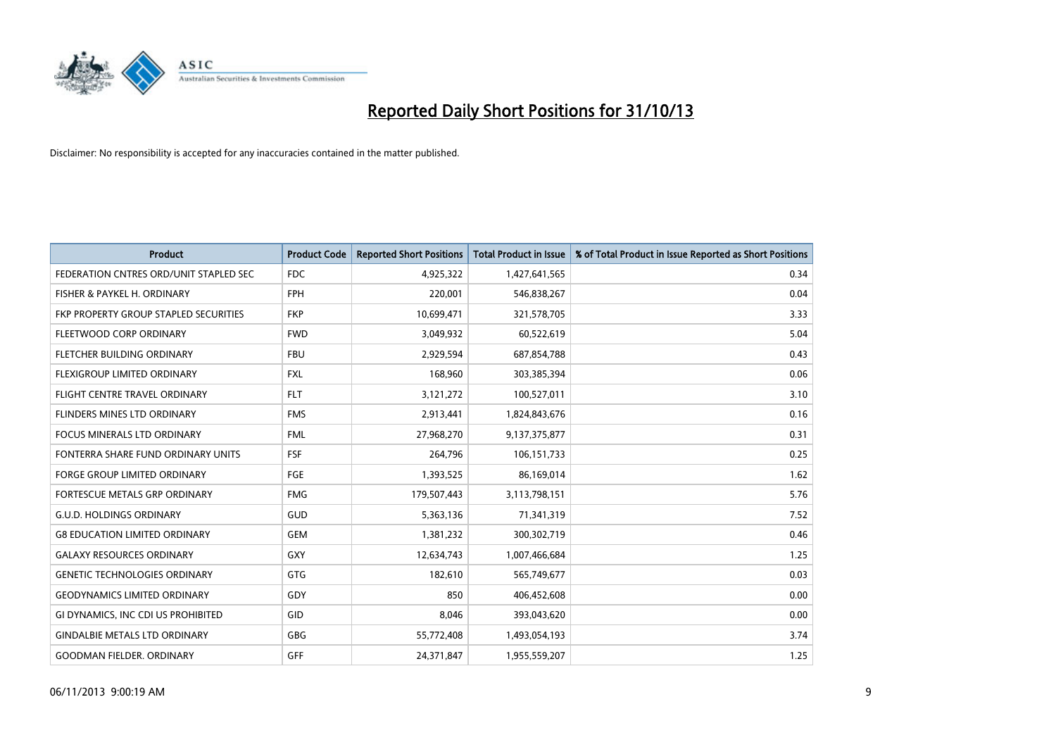

| <b>Product</b>                         | <b>Product Code</b> | <b>Reported Short Positions</b> | <b>Total Product in Issue</b> | % of Total Product in Issue Reported as Short Positions |
|----------------------------------------|---------------------|---------------------------------|-------------------------------|---------------------------------------------------------|
| FEDERATION CNTRES ORD/UNIT STAPLED SEC | FDC                 | 4,925,322                       | 1,427,641,565                 | 0.34                                                    |
| FISHER & PAYKEL H. ORDINARY            | <b>FPH</b>          | 220,001                         | 546,838,267                   | 0.04                                                    |
| FKP PROPERTY GROUP STAPLED SECURITIES  | <b>FKP</b>          | 10,699,471                      | 321,578,705                   | 3.33                                                    |
| FLEETWOOD CORP ORDINARY                | <b>FWD</b>          | 3,049,932                       | 60,522,619                    | 5.04                                                    |
| FLETCHER BUILDING ORDINARY             | <b>FBU</b>          | 2,929,594                       | 687,854,788                   | 0.43                                                    |
| FLEXIGROUP LIMITED ORDINARY            | <b>FXL</b>          | 168,960                         | 303,385,394                   | 0.06                                                    |
| FLIGHT CENTRE TRAVEL ORDINARY          | <b>FLT</b>          | 3,121,272                       | 100,527,011                   | 3.10                                                    |
| FLINDERS MINES LTD ORDINARY            | <b>FMS</b>          | 2,913,441                       | 1,824,843,676                 | 0.16                                                    |
| <b>FOCUS MINERALS LTD ORDINARY</b>     | <b>FML</b>          | 27,968,270                      | 9,137,375,877                 | 0.31                                                    |
| FONTERRA SHARE FUND ORDINARY UNITS     | <b>FSF</b>          | 264,796                         | 106,151,733                   | 0.25                                                    |
| FORGE GROUP LIMITED ORDINARY           | FGE                 | 1,393,525                       | 86,169,014                    | 1.62                                                    |
| <b>FORTESCUE METALS GRP ORDINARY</b>   | <b>FMG</b>          | 179,507,443                     | 3,113,798,151                 | 5.76                                                    |
| <b>G.U.D. HOLDINGS ORDINARY</b>        | GUD                 | 5,363,136                       | 71,341,319                    | 7.52                                                    |
| <b>G8 EDUCATION LIMITED ORDINARY</b>   | <b>GEM</b>          | 1,381,232                       | 300,302,719                   | 0.46                                                    |
| <b>GALAXY RESOURCES ORDINARY</b>       | GXY                 | 12,634,743                      | 1,007,466,684                 | 1.25                                                    |
| <b>GENETIC TECHNOLOGIES ORDINARY</b>   | GTG                 | 182,610                         | 565,749,677                   | 0.03                                                    |
| <b>GEODYNAMICS LIMITED ORDINARY</b>    | GDY                 | 850                             | 406,452,608                   | 0.00                                                    |
| GI DYNAMICS, INC CDI US PROHIBITED     | GID                 | 8.046                           | 393,043,620                   | 0.00                                                    |
| <b>GINDALBIE METALS LTD ORDINARY</b>   | GBG                 | 55,772,408                      | 1,493,054,193                 | 3.74                                                    |
| <b>GOODMAN FIELDER, ORDINARY</b>       | <b>GFF</b>          | 24,371,847                      | 1,955,559,207                 | 1.25                                                    |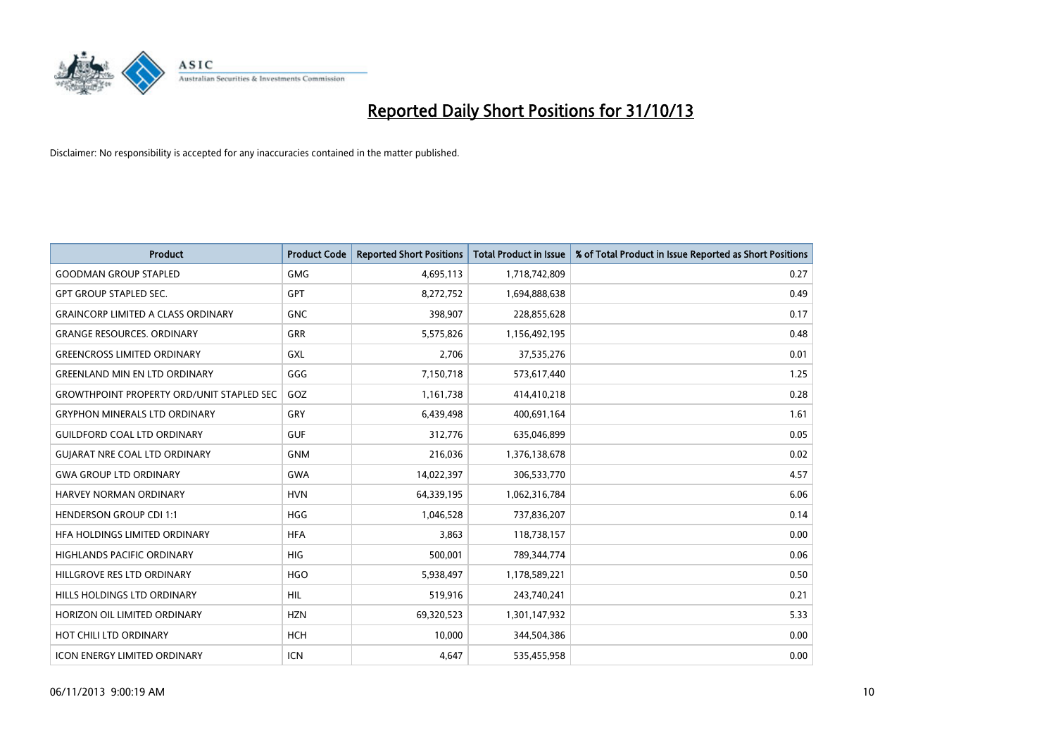

| Product                                          | <b>Product Code</b> | <b>Reported Short Positions</b> | <b>Total Product in Issue</b> | % of Total Product in Issue Reported as Short Positions |
|--------------------------------------------------|---------------------|---------------------------------|-------------------------------|---------------------------------------------------------|
| <b>GOODMAN GROUP STAPLED</b>                     | <b>GMG</b>          | 4,695,113                       | 1,718,742,809                 | 0.27                                                    |
| <b>GPT GROUP STAPLED SEC.</b>                    | <b>GPT</b>          | 8,272,752                       | 1,694,888,638                 | 0.49                                                    |
| <b>GRAINCORP LIMITED A CLASS ORDINARY</b>        | <b>GNC</b>          | 398,907                         | 228,855,628                   | 0.17                                                    |
| <b>GRANGE RESOURCES. ORDINARY</b>                | GRR                 | 5,575,826                       | 1,156,492,195                 | 0.48                                                    |
| <b>GREENCROSS LIMITED ORDINARY</b>               | GXL                 | 2,706                           | 37,535,276                    | 0.01                                                    |
| <b>GREENLAND MIN EN LTD ORDINARY</b>             | GGG                 | 7,150,718                       | 573,617,440                   | 1.25                                                    |
| <b>GROWTHPOINT PROPERTY ORD/UNIT STAPLED SEC</b> | GOZ                 | 1,161,738                       | 414,410,218                   | 0.28                                                    |
| <b>GRYPHON MINERALS LTD ORDINARY</b>             | GRY                 | 6,439,498                       | 400,691,164                   | 1.61                                                    |
| <b>GUILDFORD COAL LTD ORDINARY</b>               | <b>GUF</b>          | 312,776                         | 635,046,899                   | 0.05                                                    |
| <b>GUIARAT NRE COAL LTD ORDINARY</b>             | <b>GNM</b>          | 216,036                         | 1,376,138,678                 | 0.02                                                    |
| <b>GWA GROUP LTD ORDINARY</b>                    | <b>GWA</b>          | 14,022,397                      | 306,533,770                   | 4.57                                                    |
| <b>HARVEY NORMAN ORDINARY</b>                    | <b>HVN</b>          | 64,339,195                      | 1,062,316,784                 | 6.06                                                    |
| <b>HENDERSON GROUP CDI 1:1</b>                   | <b>HGG</b>          | 1,046,528                       | 737,836,207                   | 0.14                                                    |
| HFA HOLDINGS LIMITED ORDINARY                    | <b>HFA</b>          | 3,863                           | 118,738,157                   | 0.00                                                    |
| <b>HIGHLANDS PACIFIC ORDINARY</b>                | <b>HIG</b>          | 500,001                         | 789,344,774                   | 0.06                                                    |
| HILLGROVE RES LTD ORDINARY                       | <b>HGO</b>          | 5,938,497                       | 1,178,589,221                 | 0.50                                                    |
| HILLS HOLDINGS LTD ORDINARY                      | <b>HIL</b>          | 519,916                         | 243,740,241                   | 0.21                                                    |
| HORIZON OIL LIMITED ORDINARY                     | <b>HZN</b>          | 69,320,523                      | 1,301,147,932                 | 5.33                                                    |
| HOT CHILI LTD ORDINARY                           | HCH                 | 10,000                          | 344,504,386                   | 0.00                                                    |
| <b>ICON ENERGY LIMITED ORDINARY</b>              | <b>ICN</b>          | 4,647                           | 535,455,958                   | 0.00                                                    |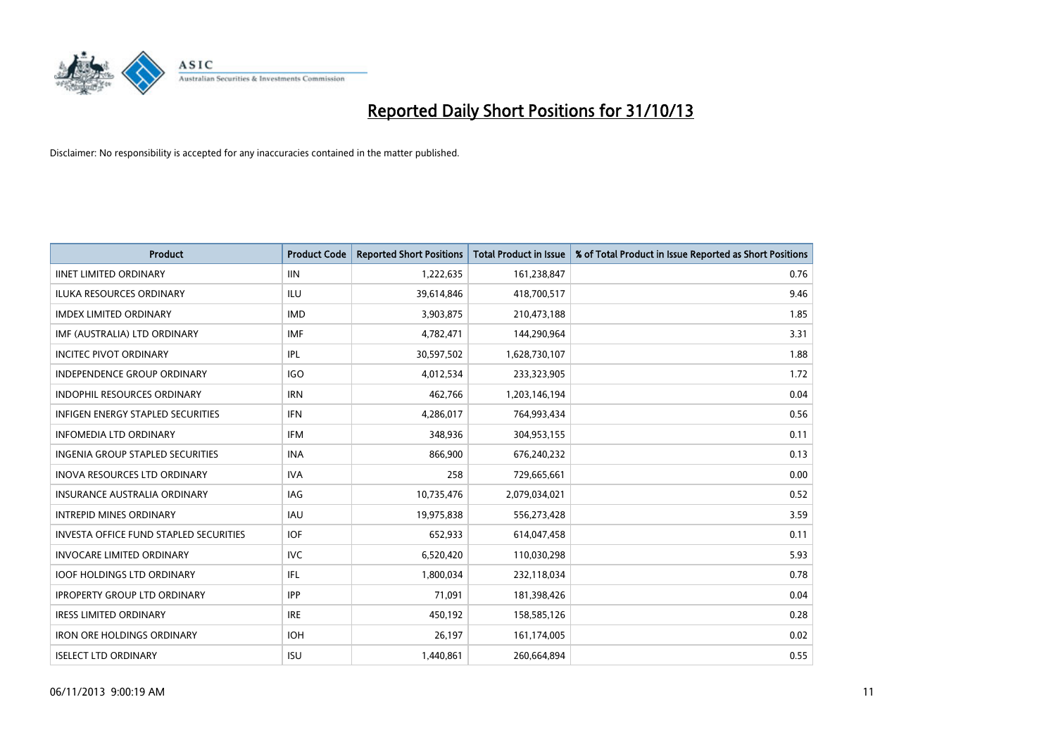

| <b>Product</b>                                | <b>Product Code</b> | <b>Reported Short Positions</b> | <b>Total Product in Issue</b> | % of Total Product in Issue Reported as Short Positions |
|-----------------------------------------------|---------------------|---------------------------------|-------------------------------|---------------------------------------------------------|
| <b>IINET LIMITED ORDINARY</b>                 | <b>IIN</b>          | 1,222,635                       | 161,238,847                   | 0.76                                                    |
| ILUKA RESOURCES ORDINARY                      | ILU                 | 39,614,846                      | 418,700,517                   | 9.46                                                    |
| <b>IMDEX LIMITED ORDINARY</b>                 | <b>IMD</b>          | 3,903,875                       | 210,473,188                   | 1.85                                                    |
| IMF (AUSTRALIA) LTD ORDINARY                  | <b>IMF</b>          | 4,782,471                       | 144,290,964                   | 3.31                                                    |
| <b>INCITEC PIVOT ORDINARY</b>                 | IPL                 | 30,597,502                      | 1,628,730,107                 | 1.88                                                    |
| <b>INDEPENDENCE GROUP ORDINARY</b>            | <b>IGO</b>          | 4,012,534                       | 233,323,905                   | 1.72                                                    |
| <b>INDOPHIL RESOURCES ORDINARY</b>            | <b>IRN</b>          | 462,766                         | 1,203,146,194                 | 0.04                                                    |
| <b>INFIGEN ENERGY STAPLED SECURITIES</b>      | <b>IFN</b>          | 4,286,017                       | 764,993,434                   | 0.56                                                    |
| <b>INFOMEDIA LTD ORDINARY</b>                 | <b>IFM</b>          | 348,936                         | 304,953,155                   | 0.11                                                    |
| INGENIA GROUP STAPLED SECURITIES              | <b>INA</b>          | 866,900                         | 676,240,232                   | 0.13                                                    |
| INOVA RESOURCES LTD ORDINARY                  | <b>IVA</b>          | 258                             | 729,665,661                   | 0.00                                                    |
| <b>INSURANCE AUSTRALIA ORDINARY</b>           | <b>IAG</b>          | 10,735,476                      | 2,079,034,021                 | 0.52                                                    |
| <b>INTREPID MINES ORDINARY</b>                | <b>IAU</b>          | 19,975,838                      | 556,273,428                   | 3.59                                                    |
| <b>INVESTA OFFICE FUND STAPLED SECURITIES</b> | <b>IOF</b>          | 652,933                         | 614,047,458                   | 0.11                                                    |
| <b>INVOCARE LIMITED ORDINARY</b>              | <b>IVC</b>          | 6,520,420                       | 110,030,298                   | 5.93                                                    |
| <b>IOOF HOLDINGS LTD ORDINARY</b>             | IFL                 | 1,800,034                       | 232,118,034                   | 0.78                                                    |
| <b>IPROPERTY GROUP LTD ORDINARY</b>           | <b>IPP</b>          | 71,091                          | 181,398,426                   | 0.04                                                    |
| <b>IRESS LIMITED ORDINARY</b>                 | <b>IRE</b>          | 450,192                         | 158,585,126                   | 0.28                                                    |
| <b>IRON ORE HOLDINGS ORDINARY</b>             | <b>IOH</b>          | 26,197                          | 161,174,005                   | 0.02                                                    |
| <b>ISELECT LTD ORDINARY</b>                   | <b>ISU</b>          | 1,440,861                       | 260,664,894                   | 0.55                                                    |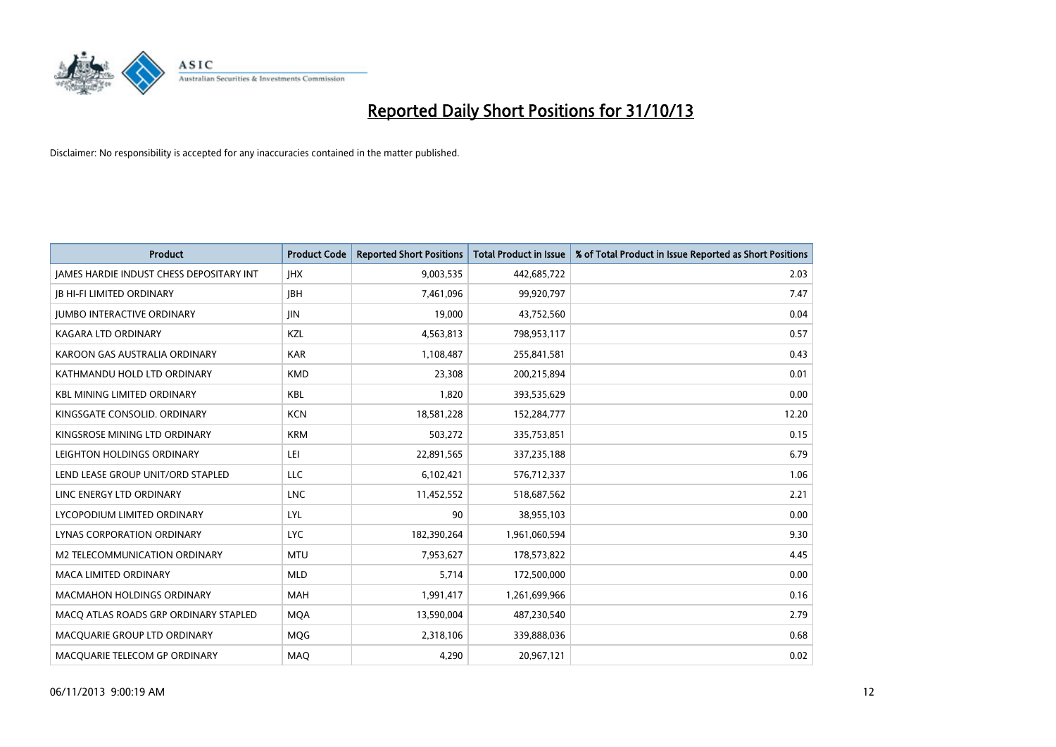

| <b>Product</b>                                  | <b>Product Code</b> | <b>Reported Short Positions</b> | <b>Total Product in Issue</b> | % of Total Product in Issue Reported as Short Positions |
|-------------------------------------------------|---------------------|---------------------------------|-------------------------------|---------------------------------------------------------|
| <b>IAMES HARDIE INDUST CHESS DEPOSITARY INT</b> | <b>IHX</b>          | 9,003,535                       | 442,685,722                   | 2.03                                                    |
| <b>JB HI-FI LIMITED ORDINARY</b>                | <b>JBH</b>          | 7,461,096                       | 99,920,797                    | 7.47                                                    |
| <b>JUMBO INTERACTIVE ORDINARY</b>               | JIN                 | 19,000                          | 43,752,560                    | 0.04                                                    |
| KAGARA LTD ORDINARY                             | KZL                 | 4,563,813                       | 798,953,117                   | 0.57                                                    |
| KAROON GAS AUSTRALIA ORDINARY                   | <b>KAR</b>          | 1,108,487                       | 255,841,581                   | 0.43                                                    |
| KATHMANDU HOLD LTD ORDINARY                     | <b>KMD</b>          | 23,308                          | 200,215,894                   | 0.01                                                    |
| <b>KBL MINING LIMITED ORDINARY</b>              | <b>KBL</b>          | 1.820                           | 393,535,629                   | 0.00                                                    |
| KINGSGATE CONSOLID. ORDINARY                    | <b>KCN</b>          | 18,581,228                      | 152,284,777                   | 12.20                                                   |
| KINGSROSE MINING LTD ORDINARY                   | <b>KRM</b>          | 503,272                         | 335,753,851                   | 0.15                                                    |
| LEIGHTON HOLDINGS ORDINARY                      | LEI                 | 22,891,565                      | 337,235,188                   | 6.79                                                    |
| LEND LEASE GROUP UNIT/ORD STAPLED               | <b>LLC</b>          | 6,102,421                       | 576,712,337                   | 1.06                                                    |
| LINC ENERGY LTD ORDINARY                        | <b>LNC</b>          | 11,452,552                      | 518,687,562                   | 2.21                                                    |
| LYCOPODIUM LIMITED ORDINARY                     | <b>LYL</b>          | 90                              | 38,955,103                    | 0.00                                                    |
| LYNAS CORPORATION ORDINARY                      | <b>LYC</b>          | 182,390,264                     | 1,961,060,594                 | 9.30                                                    |
| M2 TELECOMMUNICATION ORDINARY                   | <b>MTU</b>          | 7,953,627                       | 178,573,822                   | 4.45                                                    |
| <b>MACA LIMITED ORDINARY</b>                    | <b>MLD</b>          | 5,714                           | 172,500,000                   | 0.00                                                    |
| MACMAHON HOLDINGS ORDINARY                      | MAH                 | 1,991,417                       | 1,261,699,966                 | 0.16                                                    |
| MACO ATLAS ROADS GRP ORDINARY STAPLED           | <b>MQA</b>          | 13,590,004                      | 487,230,540                   | 2.79                                                    |
| MACOUARIE GROUP LTD ORDINARY                    | MQG                 | 2,318,106                       | 339,888,036                   | 0.68                                                    |
| MACQUARIE TELECOM GP ORDINARY                   | <b>MAQ</b>          | 4,290                           | 20,967,121                    | 0.02                                                    |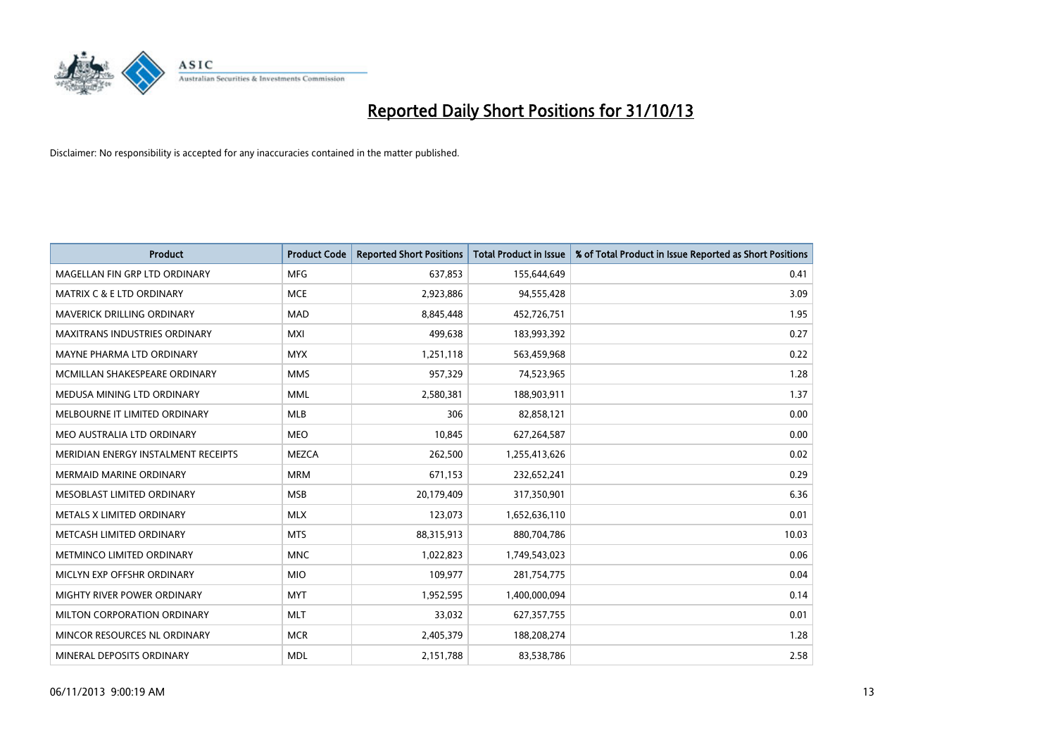

| <b>Product</b>                       | <b>Product Code</b> | <b>Reported Short Positions</b> | <b>Total Product in Issue</b> | % of Total Product in Issue Reported as Short Positions |
|--------------------------------------|---------------------|---------------------------------|-------------------------------|---------------------------------------------------------|
| MAGELLAN FIN GRP LTD ORDINARY        | <b>MFG</b>          | 637,853                         | 155,644,649                   | 0.41                                                    |
| <b>MATRIX C &amp; E LTD ORDINARY</b> | <b>MCE</b>          | 2,923,886                       | 94,555,428                    | 3.09                                                    |
| MAVERICK DRILLING ORDINARY           | <b>MAD</b>          | 8,845,448                       | 452,726,751                   | 1.95                                                    |
| <b>MAXITRANS INDUSTRIES ORDINARY</b> | <b>MXI</b>          | 499,638                         | 183,993,392                   | 0.27                                                    |
| MAYNE PHARMA LTD ORDINARY            | <b>MYX</b>          | 1,251,118                       | 563,459,968                   | 0.22                                                    |
| MCMILLAN SHAKESPEARE ORDINARY        | <b>MMS</b>          | 957,329                         | 74,523,965                    | 1.28                                                    |
| MEDUSA MINING LTD ORDINARY           | <b>MML</b>          | 2,580,381                       | 188,903,911                   | 1.37                                                    |
| MELBOURNE IT LIMITED ORDINARY        | <b>MLB</b>          | 306                             | 82,858,121                    | 0.00                                                    |
| MEO AUSTRALIA LTD ORDINARY           | <b>MEO</b>          | 10,845                          | 627,264,587                   | 0.00                                                    |
| MERIDIAN ENERGY INSTALMENT RECEIPTS  | <b>MEZCA</b>        | 262,500                         | 1,255,413,626                 | 0.02                                                    |
| <b>MERMAID MARINE ORDINARY</b>       | <b>MRM</b>          | 671,153                         | 232,652,241                   | 0.29                                                    |
| MESOBLAST LIMITED ORDINARY           | <b>MSB</b>          | 20,179,409                      | 317,350,901                   | 6.36                                                    |
| METALS X LIMITED ORDINARY            | <b>MLX</b>          | 123,073                         | 1,652,636,110                 | 0.01                                                    |
| METCASH LIMITED ORDINARY             | <b>MTS</b>          | 88,315,913                      | 880,704,786                   | 10.03                                                   |
| METMINCO LIMITED ORDINARY            | <b>MNC</b>          | 1,022,823                       | 1,749,543,023                 | 0.06                                                    |
| MICLYN EXP OFFSHR ORDINARY           | <b>MIO</b>          | 109,977                         | 281,754,775                   | 0.04                                                    |
| MIGHTY RIVER POWER ORDINARY          | <b>MYT</b>          | 1,952,595                       | 1,400,000,094                 | 0.14                                                    |
| MILTON CORPORATION ORDINARY          | <b>MLT</b>          | 33,032                          | 627,357,755                   | 0.01                                                    |
| MINCOR RESOURCES NL ORDINARY         | <b>MCR</b>          | 2,405,379                       | 188,208,274                   | 1.28                                                    |
| MINERAL DEPOSITS ORDINARY            | <b>MDL</b>          | 2,151,788                       | 83,538,786                    | 2.58                                                    |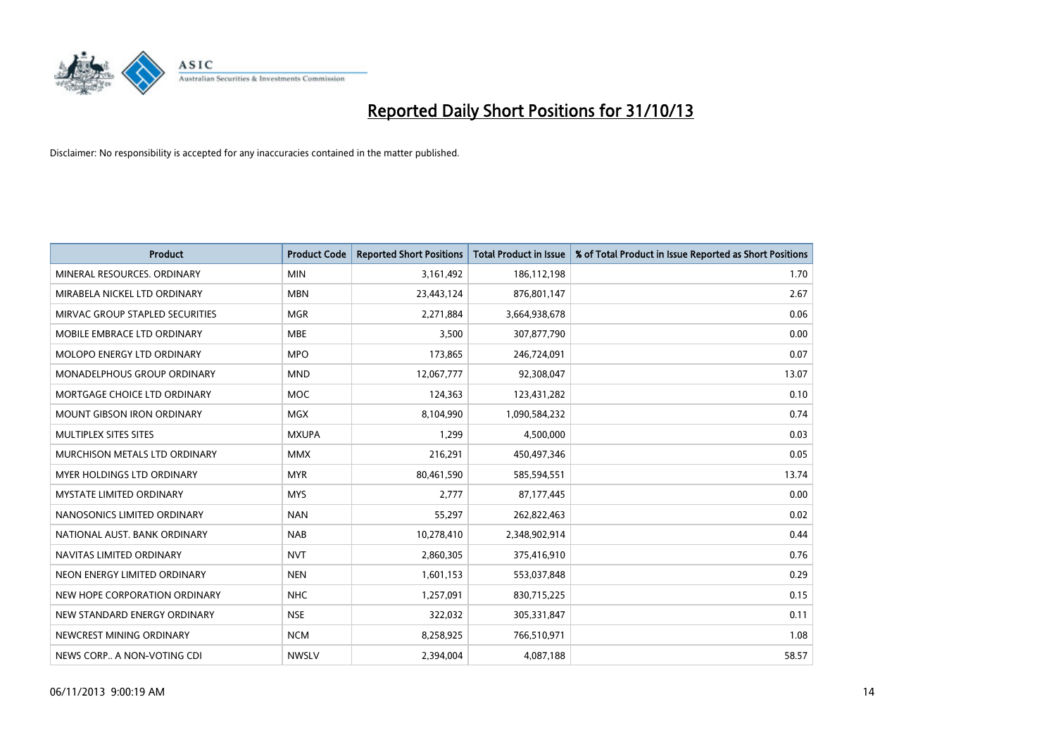

| <b>Product</b>                  | <b>Product Code</b> | <b>Reported Short Positions</b> | <b>Total Product in Issue</b> | % of Total Product in Issue Reported as Short Positions |
|---------------------------------|---------------------|---------------------------------|-------------------------------|---------------------------------------------------------|
| MINERAL RESOURCES, ORDINARY     | <b>MIN</b>          | 3,161,492                       | 186,112,198                   | 1.70                                                    |
| MIRABELA NICKEL LTD ORDINARY    | <b>MBN</b>          | 23,443,124                      | 876,801,147                   | 2.67                                                    |
| MIRVAC GROUP STAPLED SECURITIES | <b>MGR</b>          | 2,271,884                       | 3,664,938,678                 | 0.06                                                    |
| MOBILE EMBRACE LTD ORDINARY     | <b>MBE</b>          | 3,500                           | 307,877,790                   | 0.00                                                    |
| MOLOPO ENERGY LTD ORDINARY      | <b>MPO</b>          | 173,865                         | 246,724,091                   | 0.07                                                    |
| MONADELPHOUS GROUP ORDINARY     | <b>MND</b>          | 12,067,777                      | 92,308,047                    | 13.07                                                   |
| MORTGAGE CHOICE LTD ORDINARY    | MOC                 | 124,363                         | 123,431,282                   | 0.10                                                    |
| MOUNT GIBSON IRON ORDINARY      | <b>MGX</b>          | 8,104,990                       | 1,090,584,232                 | 0.74                                                    |
| MULTIPLEX SITES SITES           | <b>MXUPA</b>        | 1.299                           | 4,500,000                     | 0.03                                                    |
| MURCHISON METALS LTD ORDINARY   | <b>MMX</b>          | 216,291                         | 450,497,346                   | 0.05                                                    |
| MYER HOLDINGS LTD ORDINARY      | <b>MYR</b>          | 80,461,590                      | 585,594,551                   | 13.74                                                   |
| <b>MYSTATE LIMITED ORDINARY</b> | <b>MYS</b>          | 2,777                           | 87,177,445                    | 0.00                                                    |
| NANOSONICS LIMITED ORDINARY     | <b>NAN</b>          | 55,297                          | 262,822,463                   | 0.02                                                    |
| NATIONAL AUST. BANK ORDINARY    | <b>NAB</b>          | 10,278,410                      | 2,348,902,914                 | 0.44                                                    |
| NAVITAS LIMITED ORDINARY        | <b>NVT</b>          | 2,860,305                       | 375,416,910                   | 0.76                                                    |
| NEON ENERGY LIMITED ORDINARY    | <b>NEN</b>          | 1,601,153                       | 553,037,848                   | 0.29                                                    |
| NEW HOPE CORPORATION ORDINARY   | <b>NHC</b>          | 1,257,091                       | 830,715,225                   | 0.15                                                    |
| NEW STANDARD ENERGY ORDINARY    | <b>NSE</b>          | 322,032                         | 305,331,847                   | 0.11                                                    |
| NEWCREST MINING ORDINARY        | <b>NCM</b>          | 8,258,925                       | 766,510,971                   | 1.08                                                    |
| NEWS CORP A NON-VOTING CDI      | <b>NWSLV</b>        | 2,394,004                       | 4,087,188                     | 58.57                                                   |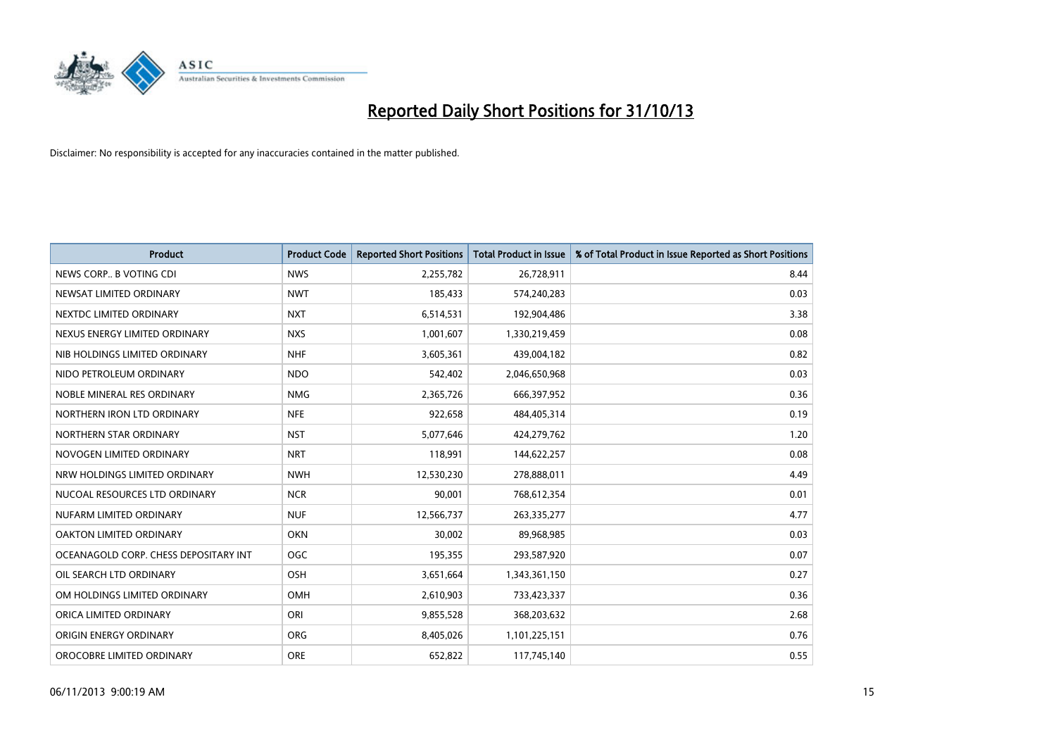

| <b>Product</b>                        | <b>Product Code</b> | <b>Reported Short Positions</b> | <b>Total Product in Issue</b> | % of Total Product in Issue Reported as Short Positions |
|---------------------------------------|---------------------|---------------------------------|-------------------------------|---------------------------------------------------------|
| NEWS CORP B VOTING CDI                | <b>NWS</b>          | 2,255,782                       | 26,728,911                    | 8.44                                                    |
| NEWSAT LIMITED ORDINARY               | <b>NWT</b>          | 185,433                         | 574,240,283                   | 0.03                                                    |
| NEXTDC LIMITED ORDINARY               | <b>NXT</b>          | 6,514,531                       | 192,904,486                   | 3.38                                                    |
| NEXUS ENERGY LIMITED ORDINARY         | <b>NXS</b>          | 1,001,607                       | 1,330,219,459                 | 0.08                                                    |
| NIB HOLDINGS LIMITED ORDINARY         | <b>NHF</b>          | 3,605,361                       | 439,004,182                   | 0.82                                                    |
| NIDO PETROLEUM ORDINARY               | <b>NDO</b>          | 542,402                         | 2,046,650,968                 | 0.03                                                    |
| NOBLE MINERAL RES ORDINARY            | <b>NMG</b>          | 2,365,726                       | 666,397,952                   | 0.36                                                    |
| NORTHERN IRON LTD ORDINARY            | <b>NFE</b>          | 922,658                         | 484,405,314                   | 0.19                                                    |
| NORTHERN STAR ORDINARY                | <b>NST</b>          | 5,077,646                       | 424,279,762                   | 1.20                                                    |
| NOVOGEN LIMITED ORDINARY              | <b>NRT</b>          | 118,991                         | 144,622,257                   | 0.08                                                    |
| NRW HOLDINGS LIMITED ORDINARY         | <b>NWH</b>          | 12,530,230                      | 278,888,011                   | 4.49                                                    |
| NUCOAL RESOURCES LTD ORDINARY         | <b>NCR</b>          | 90,001                          | 768,612,354                   | 0.01                                                    |
| NUFARM LIMITED ORDINARY               | <b>NUF</b>          | 12,566,737                      | 263,335,277                   | 4.77                                                    |
| OAKTON LIMITED ORDINARY               | <b>OKN</b>          | 30,002                          | 89,968,985                    | 0.03                                                    |
| OCEANAGOLD CORP. CHESS DEPOSITARY INT | <b>OGC</b>          | 195,355                         | 293,587,920                   | 0.07                                                    |
| OIL SEARCH LTD ORDINARY               | OSH                 | 3,651,664                       | 1,343,361,150                 | 0.27                                                    |
| OM HOLDINGS LIMITED ORDINARY          | OMH                 | 2,610,903                       | 733,423,337                   | 0.36                                                    |
| ORICA LIMITED ORDINARY                | ORI                 | 9,855,528                       | 368,203,632                   | 2.68                                                    |
| ORIGIN ENERGY ORDINARY                | <b>ORG</b>          | 8,405,026                       | 1,101,225,151                 | 0.76                                                    |
| OROCOBRE LIMITED ORDINARY             | <b>ORE</b>          | 652,822                         | 117,745,140                   | 0.55                                                    |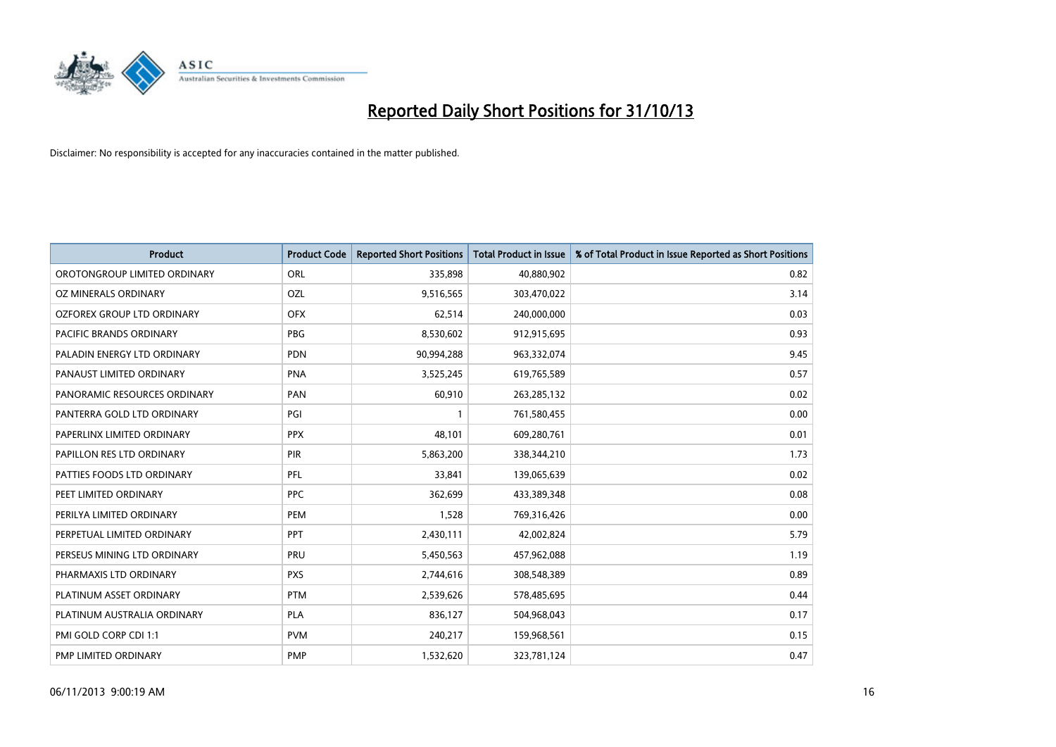

| <b>Product</b>               | <b>Product Code</b> | <b>Reported Short Positions</b> | <b>Total Product in Issue</b> | % of Total Product in Issue Reported as Short Positions |
|------------------------------|---------------------|---------------------------------|-------------------------------|---------------------------------------------------------|
| OROTONGROUP LIMITED ORDINARY | ORL                 | 335,898                         | 40,880,902                    | 0.82                                                    |
| OZ MINERALS ORDINARY         | OZL                 | 9,516,565                       | 303,470,022                   | 3.14                                                    |
| OZFOREX GROUP LTD ORDINARY   | <b>OFX</b>          | 62,514                          | 240,000,000                   | 0.03                                                    |
| PACIFIC BRANDS ORDINARY      | <b>PBG</b>          | 8,530,602                       | 912,915,695                   | 0.93                                                    |
| PALADIN ENERGY LTD ORDINARY  | <b>PDN</b>          | 90,994,288                      | 963,332,074                   | 9.45                                                    |
| PANAUST LIMITED ORDINARY     | <b>PNA</b>          | 3,525,245                       | 619,765,589                   | 0.57                                                    |
| PANORAMIC RESOURCES ORDINARY | PAN                 | 60,910                          | 263,285,132                   | 0.02                                                    |
| PANTERRA GOLD LTD ORDINARY   | PGI                 | $\mathbf{1}$                    | 761,580,455                   | 0.00                                                    |
| PAPERLINX LIMITED ORDINARY   | <b>PPX</b>          | 48,101                          | 609,280,761                   | 0.01                                                    |
| PAPILLON RES LTD ORDINARY    | <b>PIR</b>          | 5,863,200                       | 338,344,210                   | 1.73                                                    |
| PATTIES FOODS LTD ORDINARY   | <b>PFL</b>          | 33,841                          | 139,065,639                   | 0.02                                                    |
| PEET LIMITED ORDINARY        | <b>PPC</b>          | 362,699                         | 433,389,348                   | 0.08                                                    |
| PERILYA LIMITED ORDINARY     | PEM                 | 1,528                           | 769,316,426                   | 0.00                                                    |
| PERPETUAL LIMITED ORDINARY   | PPT                 | 2,430,111                       | 42,002,824                    | 5.79                                                    |
| PERSEUS MINING LTD ORDINARY  | PRU                 | 5,450,563                       | 457,962,088                   | 1.19                                                    |
| PHARMAXIS LTD ORDINARY       | <b>PXS</b>          | 2,744,616                       | 308,548,389                   | 0.89                                                    |
| PLATINUM ASSET ORDINARY      | <b>PTM</b>          | 2,539,626                       | 578,485,695                   | 0.44                                                    |
| PLATINUM AUSTRALIA ORDINARY  | PLA                 | 836,127                         | 504,968,043                   | 0.17                                                    |
| PMI GOLD CORP CDI 1:1        | <b>PVM</b>          | 240,217                         | 159,968,561                   | 0.15                                                    |
| PMP LIMITED ORDINARY         | <b>PMP</b>          | 1,532,620                       | 323,781,124                   | 0.47                                                    |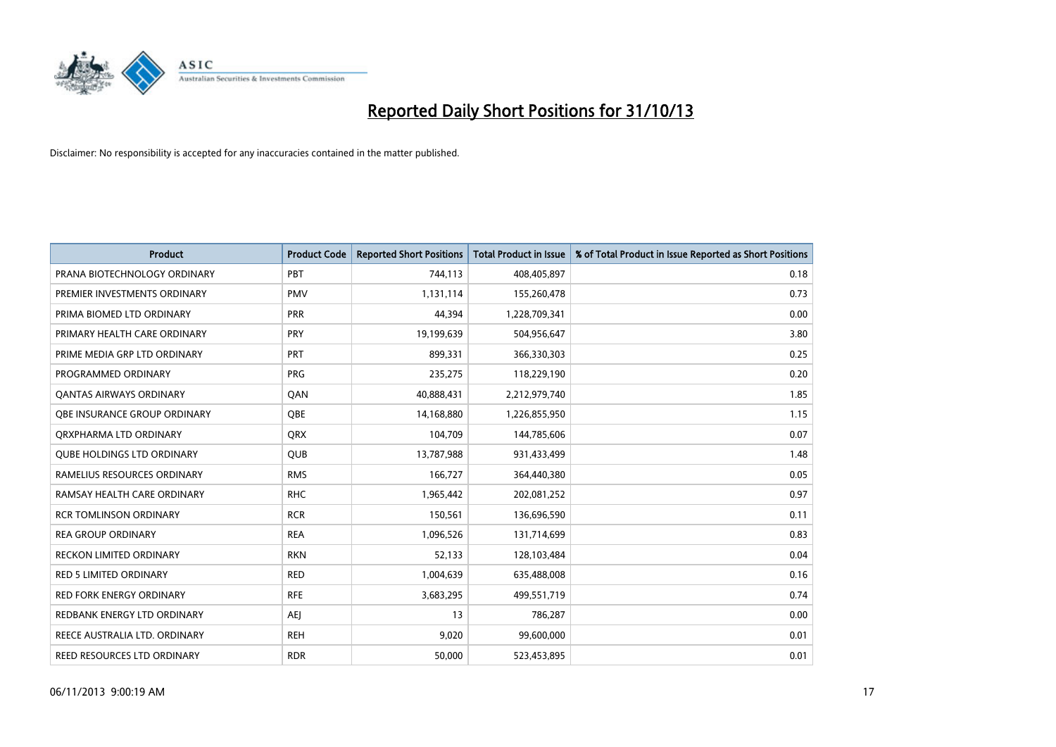

| <b>Product</b>                    | <b>Product Code</b> | <b>Reported Short Positions</b> | <b>Total Product in Issue</b> | % of Total Product in Issue Reported as Short Positions |
|-----------------------------------|---------------------|---------------------------------|-------------------------------|---------------------------------------------------------|
| PRANA BIOTECHNOLOGY ORDINARY      | PBT                 | 744,113                         | 408,405,897                   | 0.18                                                    |
| PREMIER INVESTMENTS ORDINARY      | <b>PMV</b>          | 1,131,114                       | 155,260,478                   | 0.73                                                    |
| PRIMA BIOMED LTD ORDINARY         | <b>PRR</b>          | 44,394                          | 1,228,709,341                 | 0.00                                                    |
| PRIMARY HEALTH CARE ORDINARY      | <b>PRY</b>          | 19,199,639                      | 504,956,647                   | 3.80                                                    |
| PRIME MEDIA GRP LTD ORDINARY      | <b>PRT</b>          | 899,331                         | 366,330,303                   | 0.25                                                    |
| PROGRAMMED ORDINARY               | <b>PRG</b>          | 235,275                         | 118,229,190                   | 0.20                                                    |
| <b>QANTAS AIRWAYS ORDINARY</b>    | QAN                 | 40,888,431                      | 2,212,979,740                 | 1.85                                                    |
| OBE INSURANCE GROUP ORDINARY      | <b>OBE</b>          | 14,168,880                      | 1,226,855,950                 | 1.15                                                    |
| ORXPHARMA LTD ORDINARY            | <b>QRX</b>          | 104,709                         | 144,785,606                   | 0.07                                                    |
| <b>OUBE HOLDINGS LTD ORDINARY</b> | QUB                 | 13,787,988                      | 931,433,499                   | 1.48                                                    |
| RAMELIUS RESOURCES ORDINARY       | <b>RMS</b>          | 166,727                         | 364,440,380                   | 0.05                                                    |
| RAMSAY HEALTH CARE ORDINARY       | <b>RHC</b>          | 1,965,442                       | 202,081,252                   | 0.97                                                    |
| <b>RCR TOMLINSON ORDINARY</b>     | <b>RCR</b>          | 150,561                         | 136,696,590                   | 0.11                                                    |
| <b>REA GROUP ORDINARY</b>         | <b>REA</b>          | 1,096,526                       | 131,714,699                   | 0.83                                                    |
| <b>RECKON LIMITED ORDINARY</b>    | <b>RKN</b>          | 52,133                          | 128,103,484                   | 0.04                                                    |
| RED 5 LIMITED ORDINARY            | <b>RED</b>          | 1,004,639                       | 635,488,008                   | 0.16                                                    |
| <b>RED FORK ENERGY ORDINARY</b>   | <b>RFE</b>          | 3,683,295                       | 499,551,719                   | 0.74                                                    |
| REDBANK ENERGY LTD ORDINARY       | AEJ                 | 13                              | 786,287                       | 0.00                                                    |
| REECE AUSTRALIA LTD. ORDINARY     | <b>REH</b>          | 9,020                           | 99,600,000                    | 0.01                                                    |
| REED RESOURCES LTD ORDINARY       | <b>RDR</b>          | 50,000                          | 523,453,895                   | 0.01                                                    |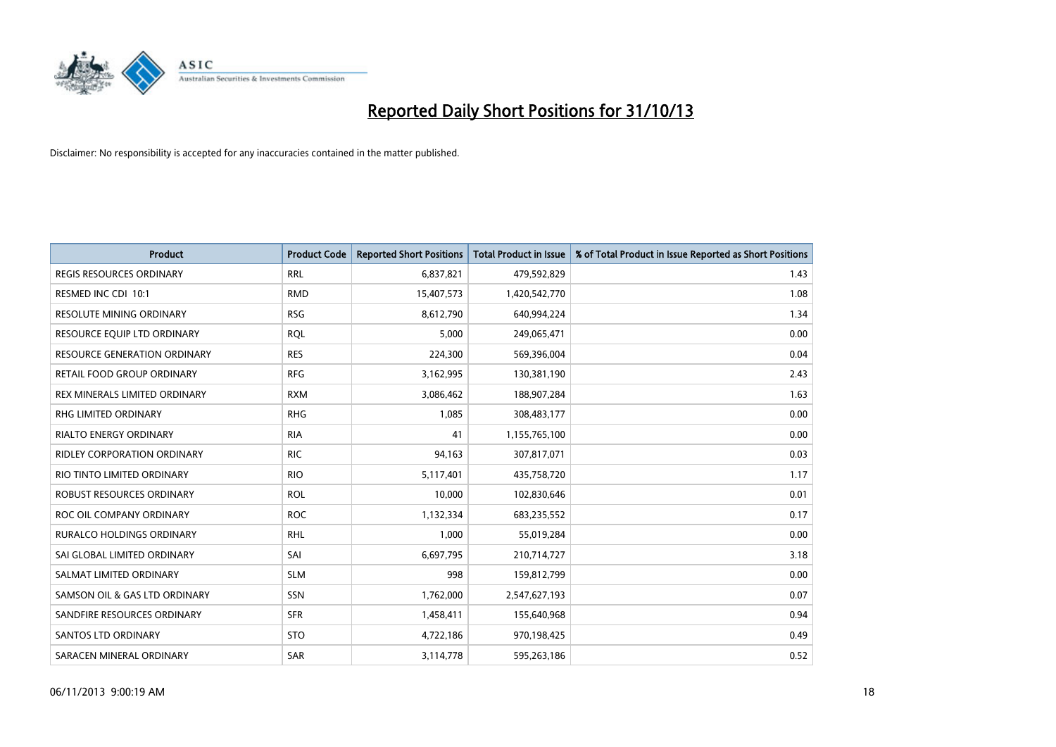

| <b>Product</b>                      | <b>Product Code</b> | <b>Reported Short Positions</b> | <b>Total Product in Issue</b> | % of Total Product in Issue Reported as Short Positions |
|-------------------------------------|---------------------|---------------------------------|-------------------------------|---------------------------------------------------------|
| <b>REGIS RESOURCES ORDINARY</b>     | <b>RRL</b>          | 6,837,821                       | 479,592,829                   | 1.43                                                    |
| RESMED INC CDI 10:1                 | <b>RMD</b>          | 15,407,573                      | 1,420,542,770                 | 1.08                                                    |
| <b>RESOLUTE MINING ORDINARY</b>     | <b>RSG</b>          | 8,612,790                       | 640,994,224                   | 1.34                                                    |
| RESOURCE EQUIP LTD ORDINARY         | <b>ROL</b>          | 5,000                           | 249,065,471                   | 0.00                                                    |
| <b>RESOURCE GENERATION ORDINARY</b> | <b>RES</b>          | 224,300                         | 569,396,004                   | 0.04                                                    |
| RETAIL FOOD GROUP ORDINARY          | <b>RFG</b>          | 3,162,995                       | 130,381,190                   | 2.43                                                    |
| REX MINERALS LIMITED ORDINARY       | <b>RXM</b>          | 3,086,462                       | 188,907,284                   | 1.63                                                    |
| <b>RHG LIMITED ORDINARY</b>         | <b>RHG</b>          | 1,085                           | 308,483,177                   | 0.00                                                    |
| <b>RIALTO ENERGY ORDINARY</b>       | <b>RIA</b>          | 41                              | 1,155,765,100                 | 0.00                                                    |
| RIDLEY CORPORATION ORDINARY         | <b>RIC</b>          | 94,163                          | 307,817,071                   | 0.03                                                    |
| RIO TINTO LIMITED ORDINARY          | <b>RIO</b>          | 5,117,401                       | 435,758,720                   | 1.17                                                    |
| ROBUST RESOURCES ORDINARY           | <b>ROL</b>          | 10,000                          | 102,830,646                   | 0.01                                                    |
| ROC OIL COMPANY ORDINARY            | <b>ROC</b>          | 1,132,334                       | 683,235,552                   | 0.17                                                    |
| <b>RURALCO HOLDINGS ORDINARY</b>    | <b>RHL</b>          | 1,000                           | 55,019,284                    | 0.00                                                    |
| SAI GLOBAL LIMITED ORDINARY         | SAI                 | 6,697,795                       | 210,714,727                   | 3.18                                                    |
| SALMAT LIMITED ORDINARY             | <b>SLM</b>          | 998                             | 159,812,799                   | 0.00                                                    |
| SAMSON OIL & GAS LTD ORDINARY       | SSN                 | 1,762,000                       | 2,547,627,193                 | 0.07                                                    |
| SANDFIRE RESOURCES ORDINARY         | <b>SFR</b>          | 1,458,411                       | 155,640,968                   | 0.94                                                    |
| <b>SANTOS LTD ORDINARY</b>          | <b>STO</b>          | 4,722,186                       | 970,198,425                   | 0.49                                                    |
| SARACEN MINERAL ORDINARY            | SAR                 | 3,114,778                       | 595,263,186                   | 0.52                                                    |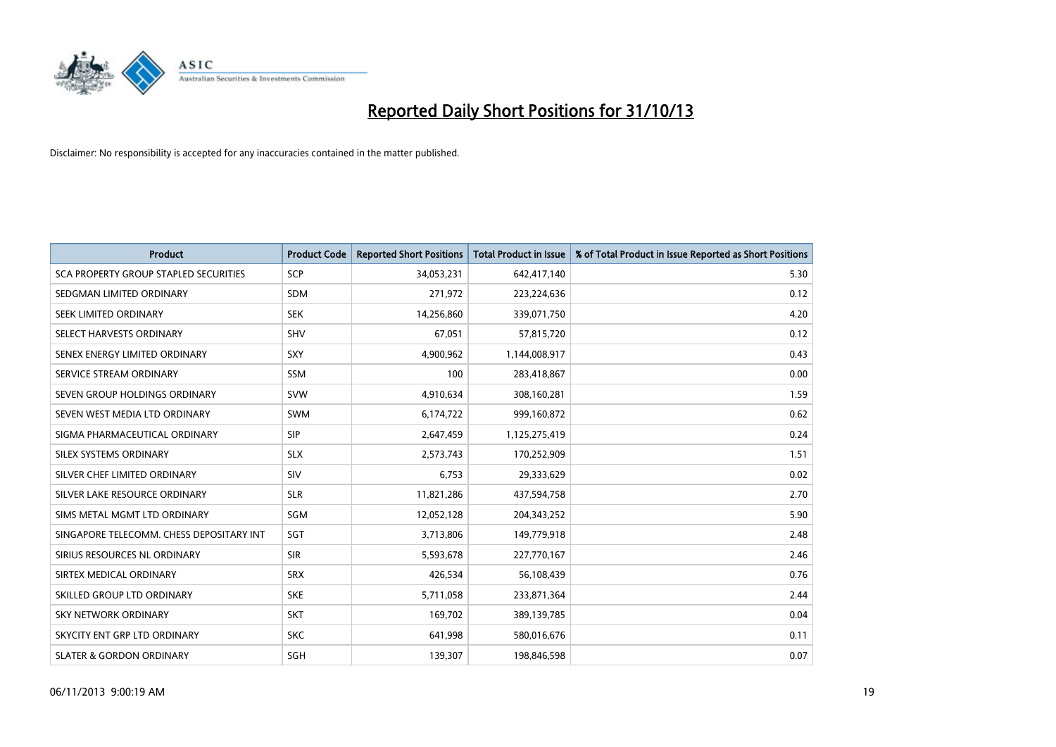

| <b>Product</b>                               | <b>Product Code</b> | <b>Reported Short Positions</b> | <b>Total Product in Issue</b> | % of Total Product in Issue Reported as Short Positions |
|----------------------------------------------|---------------------|---------------------------------|-------------------------------|---------------------------------------------------------|
| <b>SCA PROPERTY GROUP STAPLED SECURITIES</b> | <b>SCP</b>          | 34,053,231                      | 642,417,140                   | 5.30                                                    |
| SEDGMAN LIMITED ORDINARY                     | SDM                 | 271,972                         | 223,224,636                   | 0.12                                                    |
| <b>SEEK LIMITED ORDINARY</b>                 | <b>SEK</b>          | 14,256,860                      | 339,071,750                   | 4.20                                                    |
| SELECT HARVESTS ORDINARY                     | SHV                 | 67,051                          | 57,815,720                    | 0.12                                                    |
| SENEX ENERGY LIMITED ORDINARY                | <b>SXY</b>          | 4,900,962                       | 1,144,008,917                 | 0.43                                                    |
| SERVICE STREAM ORDINARY                      | <b>SSM</b>          | 100                             | 283,418,867                   | 0.00                                                    |
| SEVEN GROUP HOLDINGS ORDINARY                | <b>SVW</b>          | 4,910,634                       | 308,160,281                   | 1.59                                                    |
| SEVEN WEST MEDIA LTD ORDINARY                | SWM                 | 6,174,722                       | 999,160,872                   | 0.62                                                    |
| SIGMA PHARMACEUTICAL ORDINARY                | <b>SIP</b>          | 2,647,459                       | 1,125,275,419                 | 0.24                                                    |
| SILEX SYSTEMS ORDINARY                       | <b>SLX</b>          | 2,573,743                       | 170,252,909                   | 1.51                                                    |
| SILVER CHEF LIMITED ORDINARY                 | <b>SIV</b>          | 6,753                           | 29,333,629                    | 0.02                                                    |
| SILVER LAKE RESOURCE ORDINARY                | <b>SLR</b>          | 11,821,286                      | 437,594,758                   | 2.70                                                    |
| SIMS METAL MGMT LTD ORDINARY                 | SGM                 | 12,052,128                      | 204,343,252                   | 5.90                                                    |
| SINGAPORE TELECOMM. CHESS DEPOSITARY INT     | SGT                 | 3,713,806                       | 149,779,918                   | 2.48                                                    |
| SIRIUS RESOURCES NL ORDINARY                 | <b>SIR</b>          | 5,593,678                       | 227,770,167                   | 2.46                                                    |
| SIRTEX MEDICAL ORDINARY                      | <b>SRX</b>          | 426,534                         | 56,108,439                    | 0.76                                                    |
| SKILLED GROUP LTD ORDINARY                   | <b>SKE</b>          | 5,711,058                       | 233,871,364                   | 2.44                                                    |
| <b>SKY NETWORK ORDINARY</b>                  | <b>SKT</b>          | 169,702                         | 389,139,785                   | 0.04                                                    |
| SKYCITY ENT GRP LTD ORDINARY                 | <b>SKC</b>          | 641,998                         | 580,016,676                   | 0.11                                                    |
| <b>SLATER &amp; GORDON ORDINARY</b>          | SGH                 | 139,307                         | 198,846,598                   | 0.07                                                    |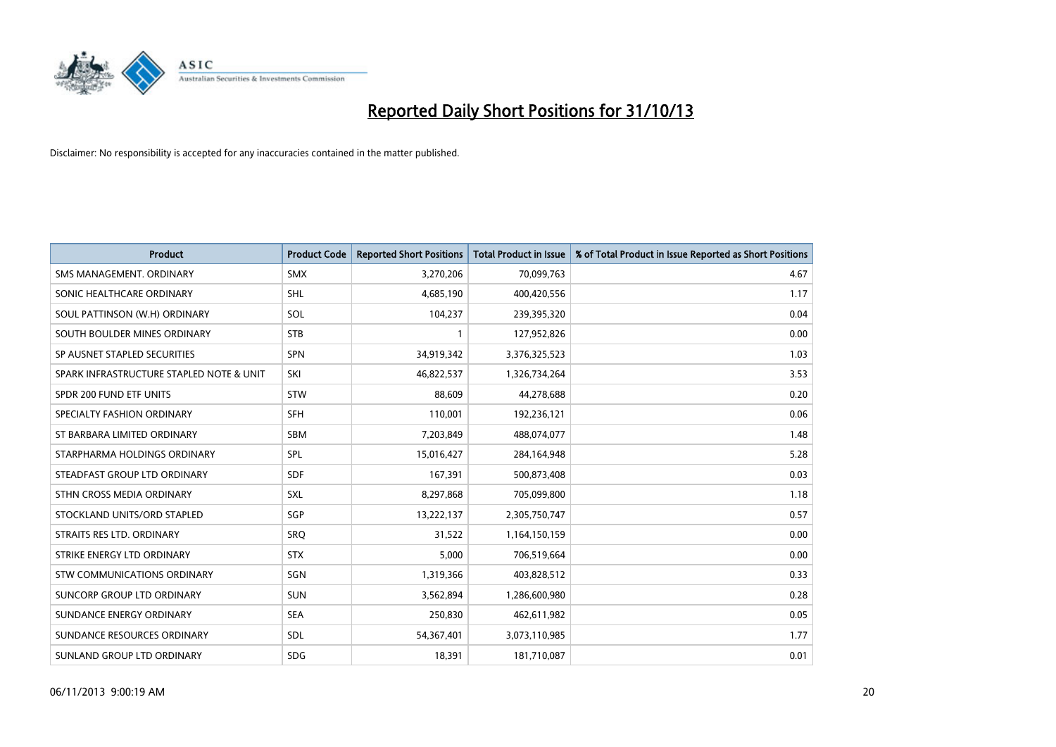

| <b>Product</b>                           | <b>Product Code</b> | <b>Reported Short Positions</b> | <b>Total Product in Issue</b> | % of Total Product in Issue Reported as Short Positions |
|------------------------------------------|---------------------|---------------------------------|-------------------------------|---------------------------------------------------------|
| SMS MANAGEMENT, ORDINARY                 | SMX                 | 3,270,206                       | 70,099,763                    | 4.67                                                    |
| SONIC HEALTHCARE ORDINARY                | <b>SHL</b>          | 4,685,190                       | 400,420,556                   | 1.17                                                    |
| SOUL PATTINSON (W.H) ORDINARY            | SOL                 | 104,237                         | 239,395,320                   | 0.04                                                    |
| SOUTH BOULDER MINES ORDINARY             | <b>STB</b>          | $\mathbf{1}$                    | 127,952,826                   | 0.00                                                    |
| SP AUSNET STAPLED SECURITIES             | SPN                 | 34,919,342                      | 3,376,325,523                 | 1.03                                                    |
| SPARK INFRASTRUCTURE STAPLED NOTE & UNIT | SKI                 | 46,822,537                      | 1,326,734,264                 | 3.53                                                    |
| SPDR 200 FUND ETF UNITS                  | <b>STW</b>          | 88,609                          | 44,278,688                    | 0.20                                                    |
| SPECIALTY FASHION ORDINARY               | <b>SFH</b>          | 110,001                         | 192,236,121                   | 0.06                                                    |
| ST BARBARA LIMITED ORDINARY              | <b>SBM</b>          | 7,203,849                       | 488,074,077                   | 1.48                                                    |
| STARPHARMA HOLDINGS ORDINARY             | SPL                 | 15,016,427                      | 284,164,948                   | 5.28                                                    |
| STEADFAST GROUP LTD ORDINARY             | <b>SDF</b>          | 167,391                         | 500,873,408                   | 0.03                                                    |
| STHN CROSS MEDIA ORDINARY                | <b>SXL</b>          | 8,297,868                       | 705,099,800                   | 1.18                                                    |
| STOCKLAND UNITS/ORD STAPLED              | SGP                 | 13,222,137                      | 2,305,750,747                 | 0.57                                                    |
| STRAITS RES LTD. ORDINARY                | SRO                 | 31,522                          | 1,164,150,159                 | 0.00                                                    |
| STRIKE ENERGY LTD ORDINARY               | <b>STX</b>          | 5,000                           | 706,519,664                   | 0.00                                                    |
| <b>STW COMMUNICATIONS ORDINARY</b>       | SGN                 | 1,319,366                       | 403,828,512                   | 0.33                                                    |
| SUNCORP GROUP LTD ORDINARY               | <b>SUN</b>          | 3,562,894                       | 1,286,600,980                 | 0.28                                                    |
| SUNDANCE ENERGY ORDINARY                 | <b>SEA</b>          | 250,830                         | 462,611,982                   | 0.05                                                    |
| SUNDANCE RESOURCES ORDINARY              | SDL                 | 54,367,401                      | 3,073,110,985                 | 1.77                                                    |
| SUNLAND GROUP LTD ORDINARY               | <b>SDG</b>          | 18,391                          | 181,710,087                   | 0.01                                                    |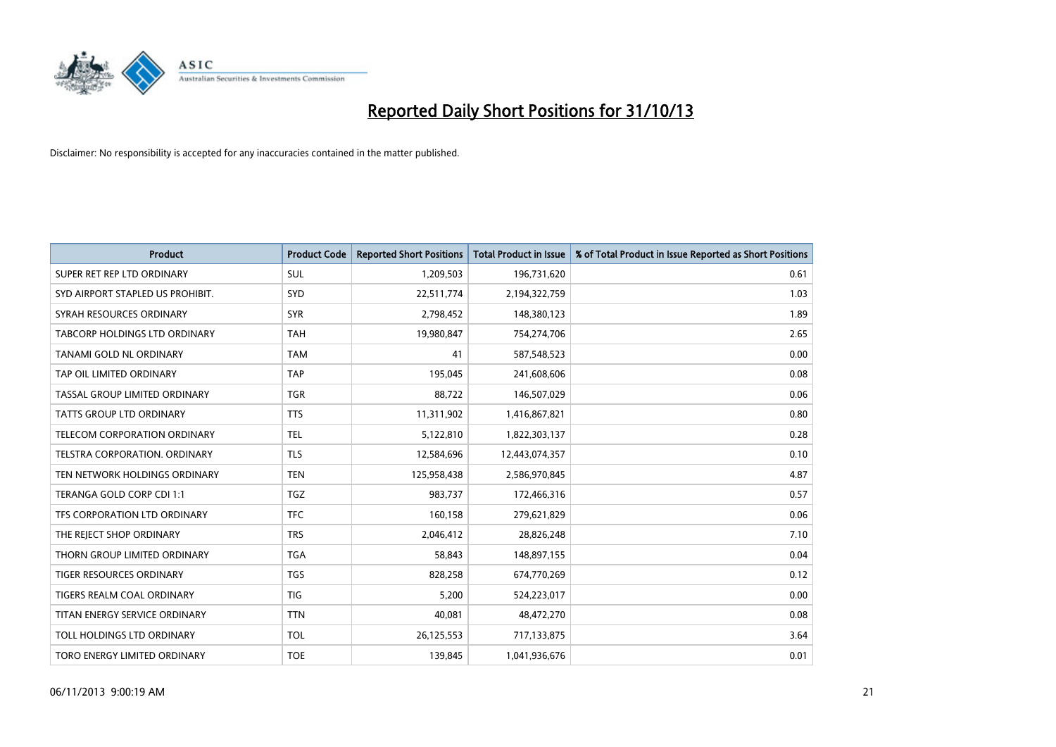

| <b>Product</b>                   | <b>Product Code</b> | <b>Reported Short Positions</b> | <b>Total Product in Issue</b> | % of Total Product in Issue Reported as Short Positions |
|----------------------------------|---------------------|---------------------------------|-------------------------------|---------------------------------------------------------|
| SUPER RET REP LTD ORDINARY       | <b>SUL</b>          | 1,209,503                       | 196,731,620                   | 0.61                                                    |
| SYD AIRPORT STAPLED US PROHIBIT. | <b>SYD</b>          | 22,511,774                      | 2,194,322,759                 | 1.03                                                    |
| SYRAH RESOURCES ORDINARY         | <b>SYR</b>          | 2,798,452                       | 148,380,123                   | 1.89                                                    |
| TABCORP HOLDINGS LTD ORDINARY    | <b>TAH</b>          | 19,980,847                      | 754,274,706                   | 2.65                                                    |
| TANAMI GOLD NL ORDINARY          | <b>TAM</b>          | 41                              | 587,548,523                   | 0.00                                                    |
| TAP OIL LIMITED ORDINARY         | <b>TAP</b>          | 195,045                         | 241,608,606                   | 0.08                                                    |
| TASSAL GROUP LIMITED ORDINARY    | TGR                 | 88,722                          | 146,507,029                   | 0.06                                                    |
| TATTS GROUP LTD ORDINARY         | <b>TTS</b>          | 11,311,902                      | 1,416,867,821                 | 0.80                                                    |
| TELECOM CORPORATION ORDINARY     | <b>TEL</b>          | 5,122,810                       | 1,822,303,137                 | 0.28                                                    |
| TELSTRA CORPORATION, ORDINARY    | <b>TLS</b>          | 12,584,696                      | 12,443,074,357                | 0.10                                                    |
| TEN NETWORK HOLDINGS ORDINARY    | <b>TEN</b>          | 125,958,438                     | 2,586,970,845                 | 4.87                                                    |
| TERANGA GOLD CORP CDI 1:1        | <b>TGZ</b>          | 983,737                         | 172,466,316                   | 0.57                                                    |
| TFS CORPORATION LTD ORDINARY     | <b>TFC</b>          | 160,158                         | 279,621,829                   | 0.06                                                    |
| THE REJECT SHOP ORDINARY         | <b>TRS</b>          | 2,046,412                       | 28,826,248                    | 7.10                                                    |
| THORN GROUP LIMITED ORDINARY     | <b>TGA</b>          | 58,843                          | 148,897,155                   | 0.04                                                    |
| TIGER RESOURCES ORDINARY         | <b>TGS</b>          | 828,258                         | 674,770,269                   | 0.12                                                    |
| TIGERS REALM COAL ORDINARY       | TIG                 | 5,200                           | 524,223,017                   | 0.00                                                    |
| TITAN ENERGY SERVICE ORDINARY    | <b>TTN</b>          | 40,081                          | 48,472,270                    | 0.08                                                    |
| TOLL HOLDINGS LTD ORDINARY       | <b>TOL</b>          | 26,125,553                      | 717,133,875                   | 3.64                                                    |
| TORO ENERGY LIMITED ORDINARY     | <b>TOE</b>          | 139,845                         | 1,041,936,676                 | 0.01                                                    |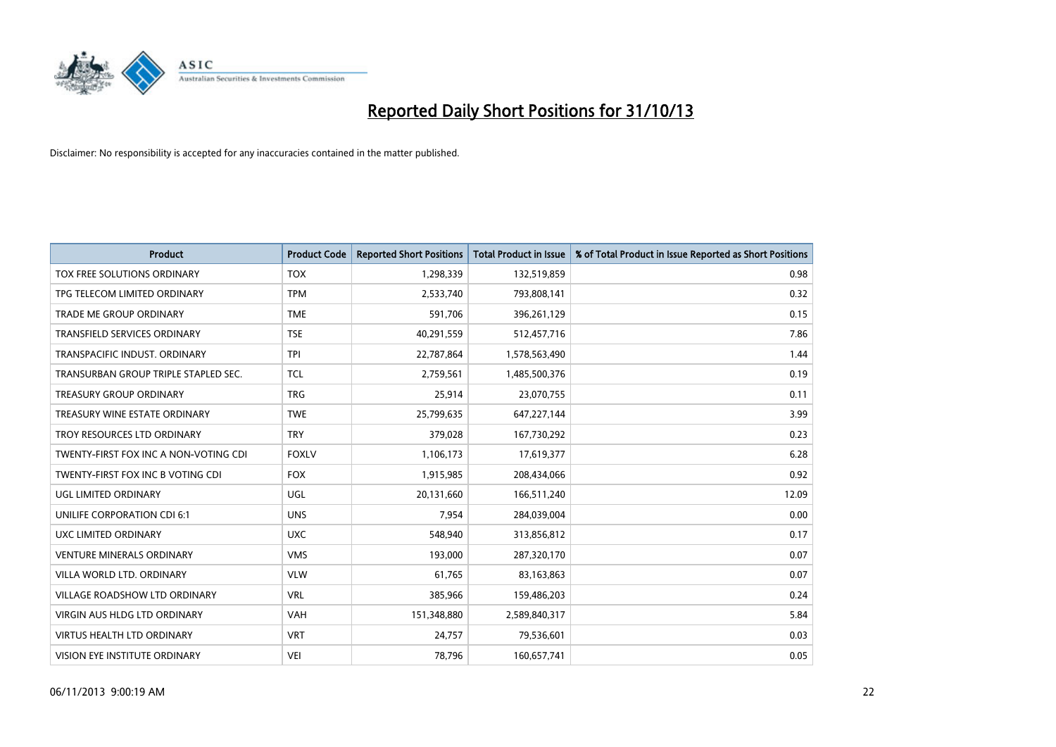

| <b>Product</b>                        | <b>Product Code</b> | <b>Reported Short Positions</b> | <b>Total Product in Issue</b> | % of Total Product in Issue Reported as Short Positions |
|---------------------------------------|---------------------|---------------------------------|-------------------------------|---------------------------------------------------------|
| TOX FREE SOLUTIONS ORDINARY           | <b>TOX</b>          | 1,298,339                       | 132,519,859                   | 0.98                                                    |
| TPG TELECOM LIMITED ORDINARY          | <b>TPM</b>          | 2,533,740                       | 793,808,141                   | 0.32                                                    |
| <b>TRADE ME GROUP ORDINARY</b>        | <b>TME</b>          | 591,706                         | 396,261,129                   | 0.15                                                    |
| TRANSFIELD SERVICES ORDINARY          | <b>TSE</b>          | 40,291,559                      | 512,457,716                   | 7.86                                                    |
| TRANSPACIFIC INDUST, ORDINARY         | <b>TPI</b>          | 22,787,864                      | 1,578,563,490                 | 1.44                                                    |
| TRANSURBAN GROUP TRIPLE STAPLED SEC.  | <b>TCL</b>          | 2,759,561                       | 1,485,500,376                 | 0.19                                                    |
| <b>TREASURY GROUP ORDINARY</b>        | <b>TRG</b>          | 25,914                          | 23,070,755                    | 0.11                                                    |
| TREASURY WINE ESTATE ORDINARY         | <b>TWE</b>          | 25,799,635                      | 647,227,144                   | 3.99                                                    |
| TROY RESOURCES LTD ORDINARY           | <b>TRY</b>          | 379,028                         | 167,730,292                   | 0.23                                                    |
| TWENTY-FIRST FOX INC A NON-VOTING CDI | <b>FOXLV</b>        | 1,106,173                       | 17,619,377                    | 6.28                                                    |
| TWENTY-FIRST FOX INC B VOTING CDI     | <b>FOX</b>          | 1,915,985                       | 208,434,066                   | 0.92                                                    |
| UGL LIMITED ORDINARY                  | UGL                 | 20,131,660                      | 166,511,240                   | 12.09                                                   |
| UNILIFE CORPORATION CDI 6:1           | <b>UNS</b>          | 7,954                           | 284,039,004                   | 0.00                                                    |
| <b>UXC LIMITED ORDINARY</b>           | <b>UXC</b>          | 548,940                         | 313,856,812                   | 0.17                                                    |
| <b>VENTURE MINERALS ORDINARY</b>      | <b>VMS</b>          | 193,000                         | 287,320,170                   | 0.07                                                    |
| VILLA WORLD LTD. ORDINARY             | <b>VLW</b>          | 61,765                          | 83,163,863                    | 0.07                                                    |
| VILLAGE ROADSHOW LTD ORDINARY         | <b>VRL</b>          | 385,966                         | 159,486,203                   | 0.24                                                    |
| <b>VIRGIN AUS HLDG LTD ORDINARY</b>   | <b>VAH</b>          | 151,348,880                     | 2,589,840,317                 | 5.84                                                    |
| <b>VIRTUS HEALTH LTD ORDINARY</b>     | <b>VRT</b>          | 24,757                          | 79,536,601                    | 0.03                                                    |
| VISION EYE INSTITUTE ORDINARY         | <b>VEI</b>          | 78,796                          | 160,657,741                   | 0.05                                                    |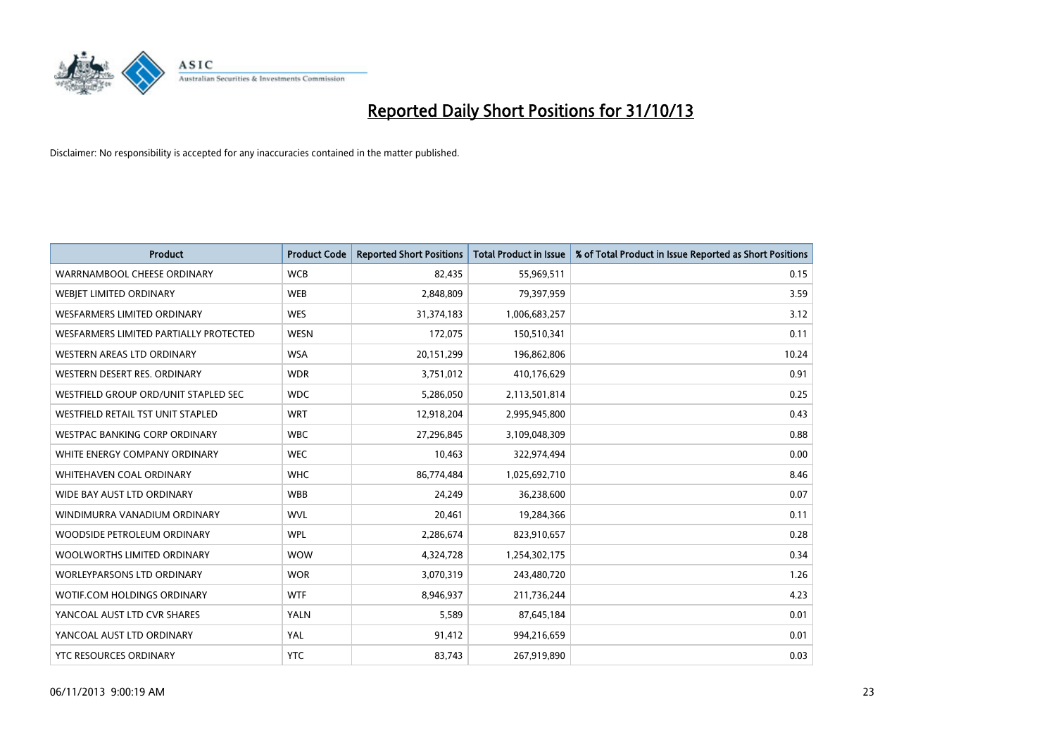

| <b>Product</b>                         | <b>Product Code</b> | <b>Reported Short Positions</b> | <b>Total Product in Issue</b> | % of Total Product in Issue Reported as Short Positions |
|----------------------------------------|---------------------|---------------------------------|-------------------------------|---------------------------------------------------------|
| WARRNAMBOOL CHEESE ORDINARY            | <b>WCB</b>          | 82,435                          | 55,969,511                    | 0.15                                                    |
| WEBJET LIMITED ORDINARY                | <b>WEB</b>          | 2,848,809                       | 79,397,959                    | 3.59                                                    |
| WESFARMERS LIMITED ORDINARY            | <b>WES</b>          | 31,374,183                      | 1,006,683,257                 | 3.12                                                    |
| WESFARMERS LIMITED PARTIALLY PROTECTED | <b>WESN</b>         | 172,075                         | 150,510,341                   | 0.11                                                    |
| WESTERN AREAS LTD ORDINARY             | <b>WSA</b>          | 20,151,299                      | 196,862,806                   | 10.24                                                   |
| WESTERN DESERT RES. ORDINARY           | <b>WDR</b>          | 3,751,012                       | 410,176,629                   | 0.91                                                    |
| WESTFIELD GROUP ORD/UNIT STAPLED SEC   | <b>WDC</b>          | 5,286,050                       | 2,113,501,814                 | 0.25                                                    |
| WESTFIELD RETAIL TST UNIT STAPLED      | <b>WRT</b>          | 12,918,204                      | 2,995,945,800                 | 0.43                                                    |
| <b>WESTPAC BANKING CORP ORDINARY</b>   | <b>WBC</b>          | 27,296,845                      | 3,109,048,309                 | 0.88                                                    |
| WHITE ENERGY COMPANY ORDINARY          | <b>WEC</b>          | 10,463                          | 322,974,494                   | 0.00                                                    |
| WHITEHAVEN COAL ORDINARY               | <b>WHC</b>          | 86,774,484                      | 1,025,692,710                 | 8.46                                                    |
| WIDE BAY AUST LTD ORDINARY             | <b>WBB</b>          | 24,249                          | 36,238,600                    | 0.07                                                    |
| WINDIMURRA VANADIUM ORDINARY           | <b>WVL</b>          | 20,461                          | 19,284,366                    | 0.11                                                    |
| WOODSIDE PETROLEUM ORDINARY            | <b>WPL</b>          | 2,286,674                       | 823,910,657                   | 0.28                                                    |
| WOOLWORTHS LIMITED ORDINARY            | <b>WOW</b>          | 4,324,728                       | 1,254,302,175                 | 0.34                                                    |
| <b>WORLEYPARSONS LTD ORDINARY</b>      | <b>WOR</b>          | 3,070,319                       | 243,480,720                   | 1.26                                                    |
| WOTIF.COM HOLDINGS ORDINARY            | <b>WTF</b>          | 8,946,937                       | 211,736,244                   | 4.23                                                    |
| YANCOAL AUST LTD CVR SHARES            | YALN                | 5,589                           | 87,645,184                    | 0.01                                                    |
| YANCOAL AUST LTD ORDINARY              | YAL                 | 91,412                          | 994,216,659                   | 0.01                                                    |
| <b>YTC RESOURCES ORDINARY</b>          | <b>YTC</b>          | 83,743                          | 267,919,890                   | 0.03                                                    |